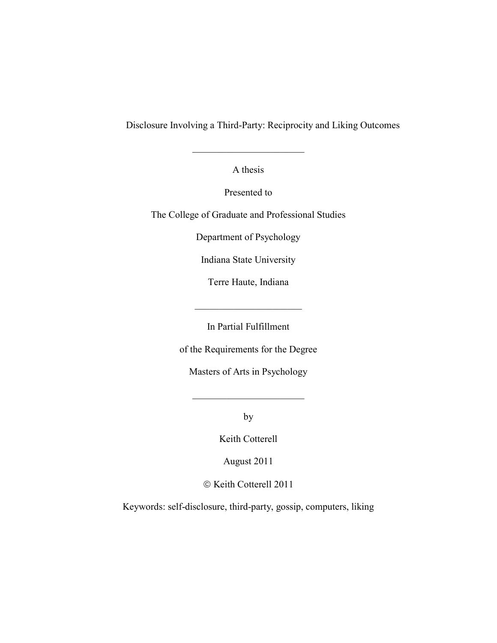Disclosure Involving a Third-Party: Reciprocity and Liking Outcomes

A thesis

 $\mathcal{L}_\text{max}$  , where  $\mathcal{L}_\text{max}$  , we have the set of  $\mathcal{L}_\text{max}$ 

Presented to

The College of Graduate and Professional Studies

Department of Psychology

Indiana State University

Terre Haute, Indiana

 $\mathcal{L}_\text{max}$  , where  $\mathcal{L}_\text{max}$  , we have the set of  $\mathcal{L}_\text{max}$ 

In Partial Fulfillment

of the Requirements for the Degree

Masters of Arts in Psychology

by

 $\mathcal{L}_\text{max}$  , where  $\mathcal{L}_\text{max}$  , we have the set of  $\mathcal{L}_\text{max}$ 

Keith Cotterell

August 2011

© Keith Cotterell 2011

Keywords: self-disclosure, third-party, gossip, computers, liking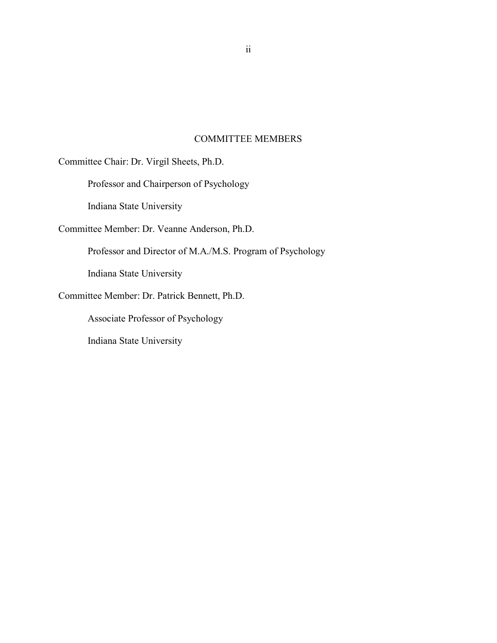## COMMITTEE MEMBERS

Committee Chair: Dr. Virgil Sheets, Ph.D.

Professor and Chairperson of Psychology

Indiana State University

Committee Member: Dr. Veanne Anderson, Ph.D.

Professor and Director of M.A./M.S. Program of Psychology

Indiana State University

Committee Member: Dr. Patrick Bennett, Ph.D.

Associate Professor of Psychology

Indiana State University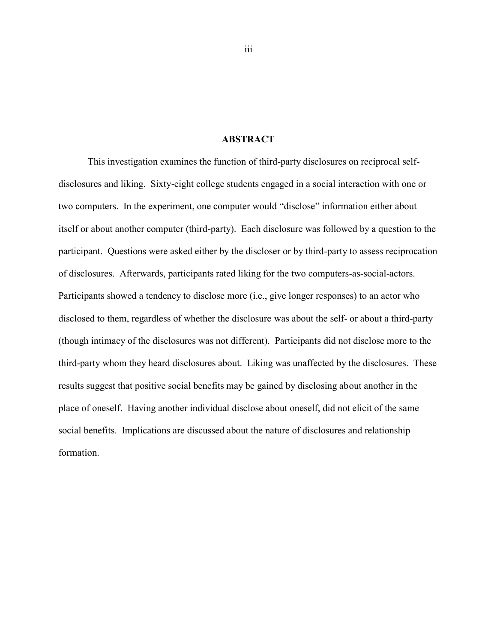## **ABSTRACT**

This investigation examines the function of third-party disclosures on reciprocal selfdisclosures and liking. Sixty-eight college students engaged in a social interaction with one or two computers. In the experiment, one computer would "disclose" information either about itself or about another computer (third-party). Each disclosure was followed by a question to the participant. Questions were asked either by the discloser or by third-party to assess reciprocation of disclosures. Afterwards, participants rated liking for the two computers-as-social-actors. Participants showed a tendency to disclose more (i.e., give longer responses) to an actor who disclosed to them, regardless of whether the disclosure was about the self- or about a third-party (though intimacy of the disclosures was not different). Participants did not disclose more to the third-party whom they heard disclosures about. Liking was unaffected by the disclosures. These results suggest that positive social benefits may be gained by disclosing about another in the place of oneself. Having another individual disclose about oneself, did not elicit of the same social benefits. Implications are discussed about the nature of disclosures and relationship formation.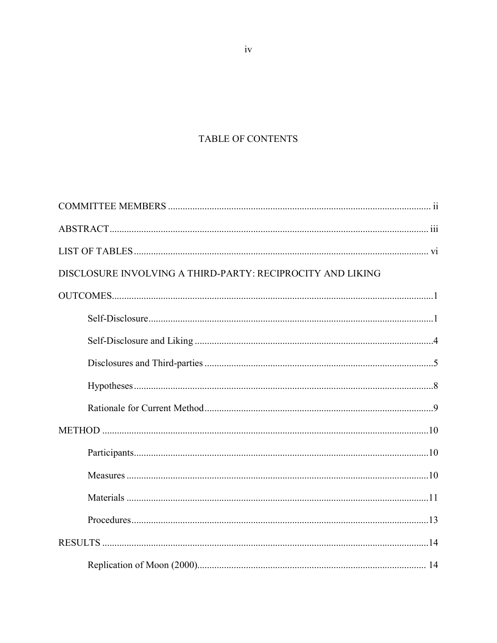# TABLE OF CONTENTS

| DISCLOSURE INVOLVING A THIRD-PARTY: RECIPROCITY AND LIKING |  |
|------------------------------------------------------------|--|
|                                                            |  |
|                                                            |  |
|                                                            |  |
|                                                            |  |
|                                                            |  |
|                                                            |  |
|                                                            |  |
|                                                            |  |
|                                                            |  |
|                                                            |  |
|                                                            |  |
|                                                            |  |
|                                                            |  |

 $iv$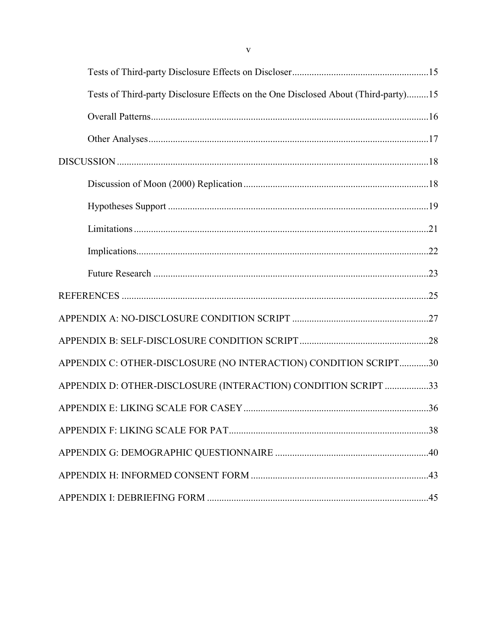| Tests of Third-party Disclosure Effects on the One Disclosed About (Third-party)15 |  |
|------------------------------------------------------------------------------------|--|
|                                                                                    |  |
|                                                                                    |  |
|                                                                                    |  |
|                                                                                    |  |
|                                                                                    |  |
|                                                                                    |  |
|                                                                                    |  |
|                                                                                    |  |
|                                                                                    |  |
|                                                                                    |  |
|                                                                                    |  |
| APPENDIX C: OTHER-DISCLOSURE (NO INTERACTION) CONDITION SCRIPT30                   |  |
| APPENDIX D: OTHER-DISCLOSURE (INTERACTION) CONDITION SCRIPT 33                     |  |
|                                                                                    |  |
|                                                                                    |  |
|                                                                                    |  |
|                                                                                    |  |
|                                                                                    |  |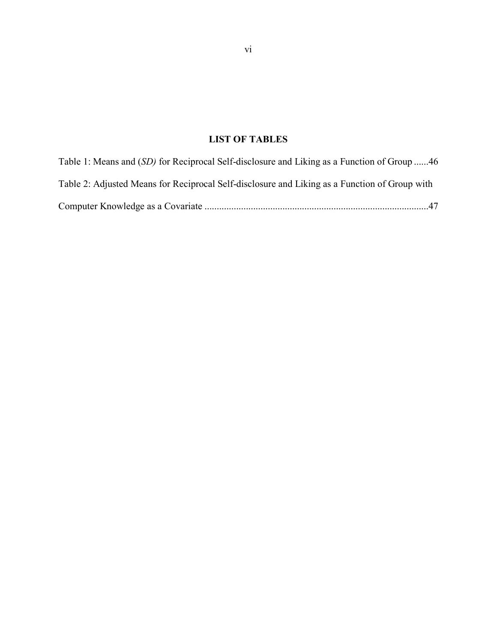# **LIST OF TABLES**

| Table 1: Means and <i>(SD)</i> for Reciprocal Self-disclosure and Liking as a Function of Group 46 |  |
|----------------------------------------------------------------------------------------------------|--|
| Table 2: Adjusted Means for Reciprocal Self-disclosure and Liking as a Function of Group with      |  |
|                                                                                                    |  |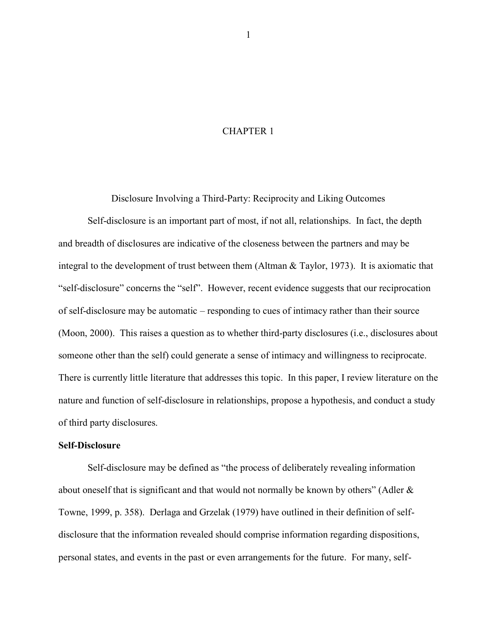## CHAPTER 1

Disclosure Involving a Third-Party: Reciprocity and Liking Outcomes

Self-disclosure is an important part of most, if not all, relationships. In fact, the depth and breadth of disclosures are indicative of the closeness between the partners and may be integral to the development of trust between them (Altman & Taylor, 1973). It is axiomatic that "self-disclosure" concerns the "self". However, recent evidence suggests that our reciprocation of self-disclosure may be automatic – responding to cues of intimacy rather than their source (Moon, 2000). This raises a question as to whether third-party disclosures (i.e., disclosures about someone other than the self) could generate a sense of intimacy and willingness to reciprocate. There is currently little literature that addresses this topic. In this paper, I review literature on the nature and function of self-disclosure in relationships, propose a hypothesis, and conduct a study of third party disclosures.

## **Self-Disclosure**

Self-disclosure may be defined as "the process of deliberately revealing information about oneself that is significant and that would not normally be known by others" (Adler  $\&$ Towne, 1999, p. 358). Derlaga and Grzelak (1979) have outlined in their definition of selfdisclosure that the information revealed should comprise information regarding dispositions, personal states, and events in the past or even arrangements for the future. For many, self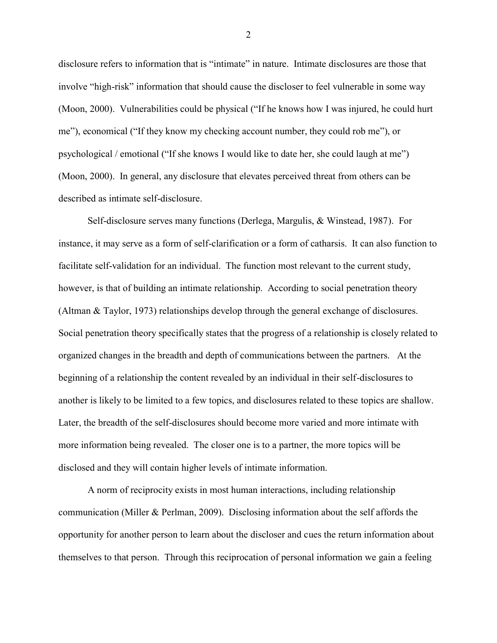disclosure refers to information that is "intimate" in nature. Intimate disclosures are those that involve "high-risk" information that should cause the discloser to feel vulnerable in some way (Moon, 2000). Vulnerabilities could be physical ("If he knows how I was injured, he could hurt me"), economical ("If they know my checking account number, they could rob me"), or psychological / emotional ("If she knows I would like to date her, she could laugh at me") (Moon, 2000). In general, any disclosure that elevates perceived threat from others can be described as intimate self-disclosure.

Self-disclosure serves many functions (Derlega, Margulis, & Winstead, 1987). For instance, it may serve as a form of self-clarification or a form of catharsis. It can also function to facilitate self-validation for an individual. The function most relevant to the current study, however, is that of building an intimate relationship. According to social penetration theory (Altman & Taylor, 1973) relationships develop through the general exchange of disclosures. Social penetration theory specifically states that the progress of a relationship is closely related to organized changes in the breadth and depth of communications between the partners. At the beginning of a relationship the content revealed by an individual in their self-disclosures to another is likely to be limited to a few topics, and disclosures related to these topics are shallow. Later, the breadth of the self-disclosures should become more varied and more intimate with more information being revealed. The closer one is to a partner, the more topics will be disclosed and they will contain higher levels of intimate information.

A norm of reciprocity exists in most human interactions, including relationship communication (Miller & Perlman, 2009). Disclosing information about the self affords the opportunity for another person to learn about the discloser and cues the return information about themselves to that person. Through this reciprocation of personal information we gain a feeling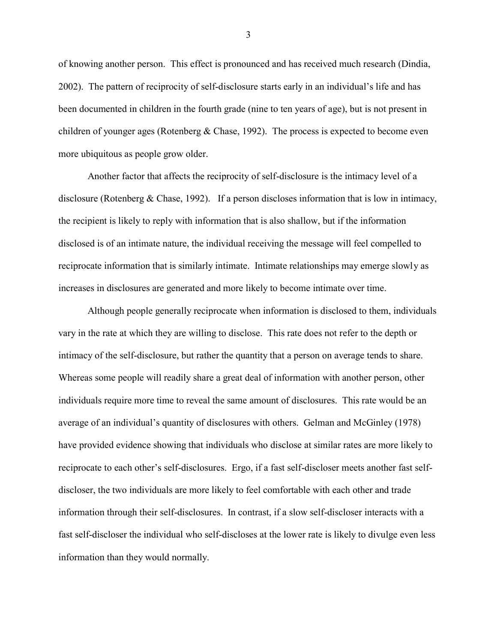of knowing another person. This effect is pronounced and has received much research (Dindia, 2002). The pattern of reciprocity of self-disclosure starts early in an individual's life and has been documented in children in the fourth grade (nine to ten years of age), but is not present in children of younger ages (Rotenberg & Chase, 1992). The process is expected to become even more ubiquitous as people grow older.

Another factor that affects the reciprocity of self-disclosure is the intimacy level of a disclosure (Rotenberg & Chase, 1992). If a person discloses information that is low in intimacy, the recipient is likely to reply with information that is also shallow, but if the information disclosed is of an intimate nature, the individual receiving the message will feel compelled to reciprocate information that is similarly intimate. Intimate relationships may emerge slowly as increases in disclosures are generated and more likely to become intimate over time.

Although people generally reciprocate when information is disclosed to them, individuals vary in the rate at which they are willing to disclose. This rate does not refer to the depth or intimacy of the self-disclosure, but rather the quantity that a person on average tends to share. Whereas some people will readily share a great deal of information with another person, other individuals require more time to reveal the same amount of disclosures. This rate would be an average of an individual's quantity of disclosures with others. Gelman and McGinley (1978) have provided evidence showing that individuals who disclose at similar rates are more likely to reciprocate to each other's self-disclosures. Ergo, if a fast self-discloser meets another fast selfdiscloser, the two individuals are more likely to feel comfortable with each other and trade information through their self-disclosures. In contrast, if a slow self-discloser interacts with a fast self-discloser the individual who self-discloses at the lower rate is likely to divulge even less information than they would normally.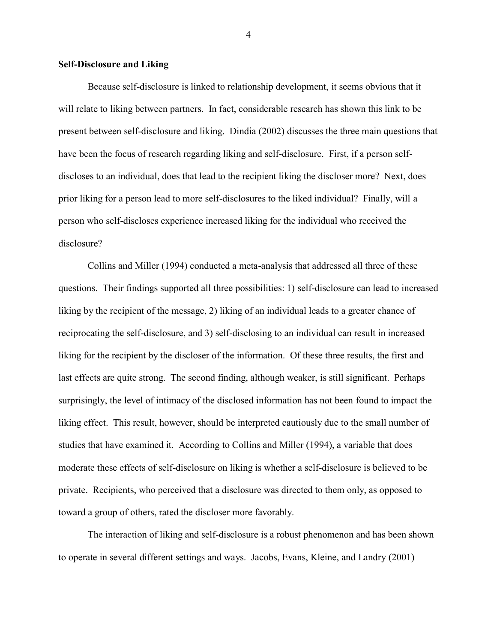## **Self-Disclosure and Liking**

Because self-disclosure is linked to relationship development, it seems obvious that it will relate to liking between partners. In fact, considerable research has shown this link to be present between self-disclosure and liking. Dindia (2002) discusses the three main questions that have been the focus of research regarding liking and self-disclosure. First, if a person selfdiscloses to an individual, does that lead to the recipient liking the discloser more? Next, does prior liking for a person lead to more self-disclosures to the liked individual? Finally, will a person who self-discloses experience increased liking for the individual who received the disclosure?

Collins and Miller (1994) conducted a meta-analysis that addressed all three of these questions. Their findings supported all three possibilities: 1) self-disclosure can lead to increased liking by the recipient of the message, 2) liking of an individual leads to a greater chance of reciprocating the self-disclosure, and 3) self-disclosing to an individual can result in increased liking for the recipient by the discloser of the information. Of these three results, the first and last effects are quite strong. The second finding, although weaker, is still significant. Perhaps surprisingly, the level of intimacy of the disclosed information has not been found to impact the liking effect. This result, however, should be interpreted cautiously due to the small number of studies that have examined it. According to Collins and Miller (1994), a variable that does moderate these effects of self-disclosure on liking is whether a self-disclosure is believed to be private. Recipients, who perceived that a disclosure was directed to them only, as opposed to toward a group of others, rated the discloser more favorably.

The interaction of liking and self-disclosure is a robust phenomenon and has been shown to operate in several different settings and ways. Jacobs, Evans, Kleine, and Landry (2001)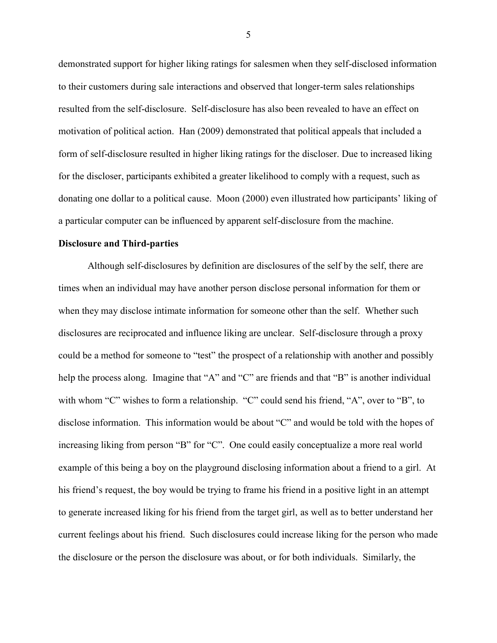demonstrated support for higher liking ratings for salesmen when they self-disclosed information to their customers during sale interactions and observed that longer-term sales relationships resulted from the self-disclosure. Self-disclosure has also been revealed to have an effect on motivation of political action. Han (2009) demonstrated that political appeals that included a form of self-disclosure resulted in higher liking ratings for the discloser. Due to increased liking for the discloser, participants exhibited a greater likelihood to comply with a request, such as donating one dollar to a political cause. Moon (2000) even illustrated how participants' liking of a particular computer can be influenced by apparent self-disclosure from the machine.

#### **Disclosure and Third-parties**

Although self-disclosures by definition are disclosures of the self by the self, there are times when an individual may have another person disclose personal information for them or when they may disclose intimate information for someone other than the self. Whether such disclosures are reciprocated and influence liking are unclear. Self-disclosure through a proxy could be a method for someone to "test" the prospect of a relationship with another and possibly help the process along. Imagine that "A" and "C" are friends and that "B" is another individual with whom "C" wishes to form a relationship. "C" could send his friend, "A", over to "B", to disclose information. This information would be about "C" and would be told with the hopes of increasing liking from person "B" for "C". One could easily conceptualize a more real world example of this being a boy on the playground disclosing information about a friend to a girl. At his friend's request, the boy would be trying to frame his friend in a positive light in an attempt to generate increased liking for his friend from the target girl, as well as to better understand her current feelings about his friend. Such disclosures could increase liking for the person who made the disclosure or the person the disclosure was about, or for both individuals. Similarly, the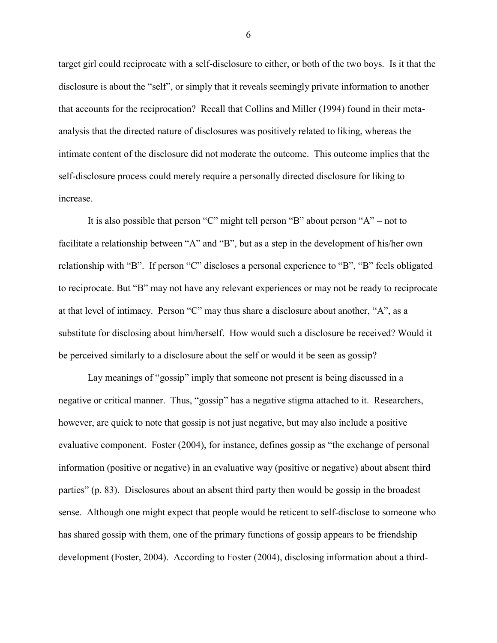target girl could reciprocate with a self-disclosure to either, or both of the two boys. Is it that the disclosure is about the "self", or simply that it reveals seemingly private information to another that accounts for the reciprocation? Recall that Collins and Miller (1994) found in their metaanalysis that the directed nature of disclosures was positively related to liking, whereas the intimate content of the disclosure did not moderate the outcome. This outcome implies that the self-disclosure process could merely require a personally directed disclosure for liking to increase.

It is also possible that person "C" might tell person "B" about person "A" – not to facilitate a relationship between "A" and "B", but as a step in the development of his/her own relationship with "B". If person "C" discloses a personal experience to "B", "B" feels obligated to reciprocate. But "B" may not have any relevant experiences or may not be ready to reciprocate at that level of intimacy. Person "C" may thus share a disclosure about another, "A", as a substitute for disclosing about him/herself. How would such a disclosure be received? Would it be perceived similarly to a disclosure about the self or would it be seen as gossip?

Lay meanings of "gossip" imply that someone not present is being discussed in a negative or critical manner. Thus, "gossip" has a negative stigma attached to it. Researchers, however, are quick to note that gossip is not just negative, but may also include a positive evaluative component. Foster (2004), for instance, defines gossip as "the exchange of personal information (positive or negative) in an evaluative way (positive or negative) about absent third parties" (p. 83). Disclosures about an absent third party then would be gossip in the broadest sense. Although one might expect that people would be reticent to self-disclose to someone who has shared gossip with them, one of the primary functions of gossip appears to be friendship development (Foster, 2004). According to Foster (2004), disclosing information about a third-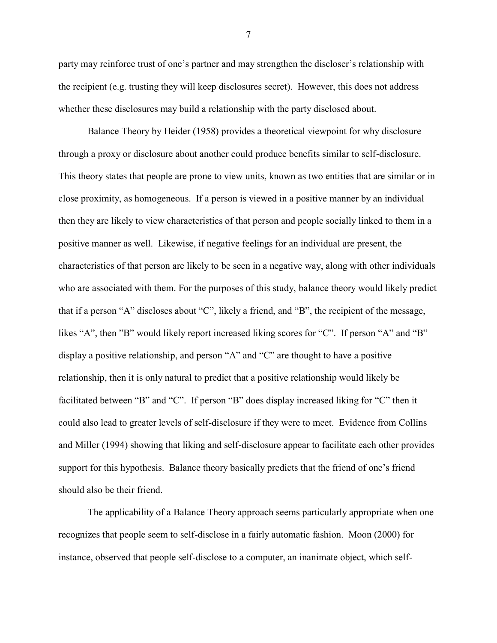party may reinforce trust of one's partner and may strengthen the discloser's relationship with the recipient (e.g. trusting they will keep disclosures secret). However, this does not address whether these disclosures may build a relationship with the party disclosed about.

Balance Theory by Heider (1958) provides a theoretical viewpoint for why disclosure through a proxy or disclosure about another could produce benefits similar to self-disclosure. This theory states that people are prone to view units, known as two entities that are similar or in close proximity, as homogeneous. If a person is viewed in a positive manner by an individual then they are likely to view characteristics of that person and people socially linked to them in a positive manner as well. Likewise, if negative feelings for an individual are present, the characteristics of that person are likely to be seen in a negative way, along with other individuals who are associated with them. For the purposes of this study, balance theory would likely predict that if a person "A" discloses about "C", likely a friend, and "B", the recipient of the message, likes "A", then "B" would likely report increased liking scores for "C". If person "A" and "B" display a positive relationship, and person "A" and "C" are thought to have a positive relationship, then it is only natural to predict that a positive relationship would likely be facilitated between "B" and "C". If person "B" does display increased liking for "C" then it could also lead to greater levels of self-disclosure if they were to meet. Evidence from Collins and Miller (1994) showing that liking and self-disclosure appear to facilitate each other provides support for this hypothesis. Balance theory basically predicts that the friend of one's friend should also be their friend.

The applicability of a Balance Theory approach seems particularly appropriate when one recognizes that people seem to self-disclose in a fairly automatic fashion. Moon (2000) for instance, observed that people self-disclose to a computer, an inanimate object, which self-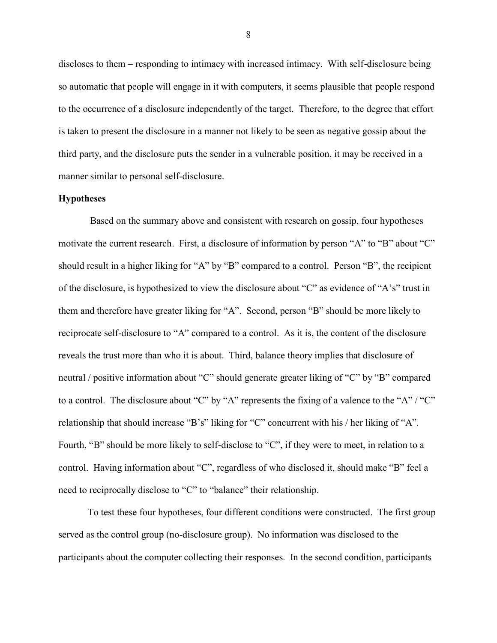discloses to them – responding to intimacy with increased intimacy. With self-disclosure being so automatic that people will engage in it with computers, it seems plausible that people respond to the occurrence of a disclosure independently of the target. Therefore, to the degree that effort is taken to present the disclosure in a manner not likely to be seen as negative gossip about the third party, and the disclosure puts the sender in a vulnerable position, it may be received in a manner similar to personal self-disclosure.

## **Hypotheses**

Based on the summary above and consistent with research on gossip, four hypotheses motivate the current research. First, a disclosure of information by person "A" to "B" about "C" should result in a higher liking for "A" by "B" compared to a control. Person "B", the recipient of the disclosure, is hypothesized to view the disclosure about "C" as evidence of "A's" trust in them and therefore have greater liking for "A". Second, person "B" should be more likely to reciprocate self-disclosure to "A" compared to a control. As it is, the content of the disclosure reveals the trust more than who it is about. Third, balance theory implies that disclosure of neutral / positive information about "C" should generate greater liking of "C" by "B" compared to a control. The disclosure about "C" by "A" represents the fixing of a valence to the "A" / "C" relationship that should increase "B's" liking for "C" concurrent with his / her liking of "A". Fourth, "B" should be more likely to self-disclose to "C", if they were to meet, in relation to a control. Having information about "C", regardless of who disclosed it, should make "B" feel a need to reciprocally disclose to "C" to "balance" their relationship.

To test these four hypotheses, four different conditions were constructed. The first group served as the control group (no-disclosure group). No information was disclosed to the participants about the computer collecting their responses. In the second condition, participants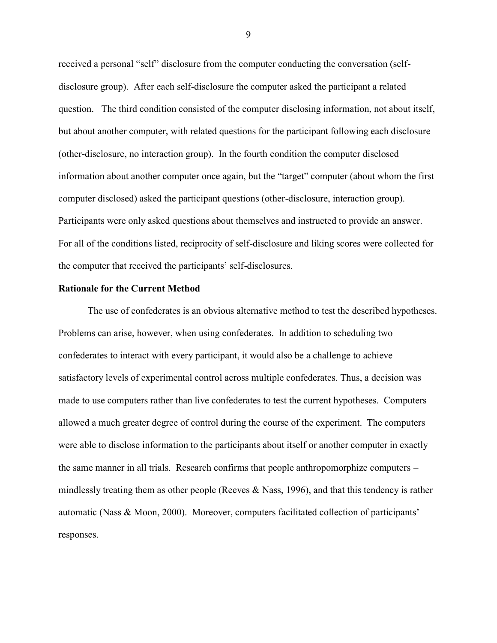received a personal "self" disclosure from the computer conducting the conversation (selfdisclosure group). After each self-disclosure the computer asked the participant a related question. The third condition consisted of the computer disclosing information, not about itself, but about another computer, with related questions for the participant following each disclosure (other-disclosure, no interaction group). In the fourth condition the computer disclosed information about another computer once again, but the "target" computer (about whom the first computer disclosed) asked the participant questions (other-disclosure, interaction group). Participants were only asked questions about themselves and instructed to provide an answer. For all of the conditions listed, reciprocity of self-disclosure and liking scores were collected for the computer that received the participants' self-disclosures.

#### **Rationale for the Current Method**

The use of confederates is an obvious alternative method to test the described hypotheses. Problems can arise, however, when using confederates. In addition to scheduling two confederates to interact with every participant, it would also be a challenge to achieve satisfactory levels of experimental control across multiple confederates. Thus, a decision was made to use computers rather than live confederates to test the current hypotheses. Computers allowed a much greater degree of control during the course of the experiment. The computers were able to disclose information to the participants about itself or another computer in exactly the same manner in all trials. Research confirms that people anthropomorphize computers – mindlessly treating them as other people (Reeves  $\&$  Nass, 1996), and that this tendency is rather automatic (Nass & Moon, 2000). Moreover, computers facilitated collection of participants' responses.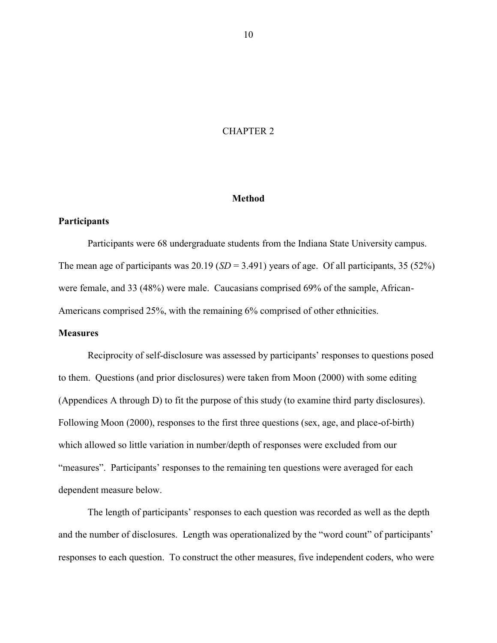## CHAPTER 2

## **Method**

## **Participants**

Participants were 68 undergraduate students from the Indiana State University campus. The mean age of participants was  $20.19$  (*SD* = 3.491) years of age. Of all participants, 35 (52%) were female, and 33 (48%) were male. Caucasians comprised 69% of the sample, African-Americans comprised 25%, with the remaining 6% comprised of other ethnicities.

## **Measures**

Reciprocity of self-disclosure was assessed by participants' responses to questions posed to them. Questions (and prior disclosures) were taken from Moon (2000) with some editing (Appendices A through D) to fit the purpose of this study (to examine third party disclosures). Following Moon (2000), responses to the first three questions (sex, age, and place-of-birth) which allowed so little variation in number/depth of responses were excluded from our "measures". Participants' responses to the remaining ten questions were averaged for each dependent measure below.

The length of participants' responses to each question was recorded as well as the depth and the number of disclosures. Length was operationalized by the "word count" of participants' responses to each question. To construct the other measures, five independent coders, who were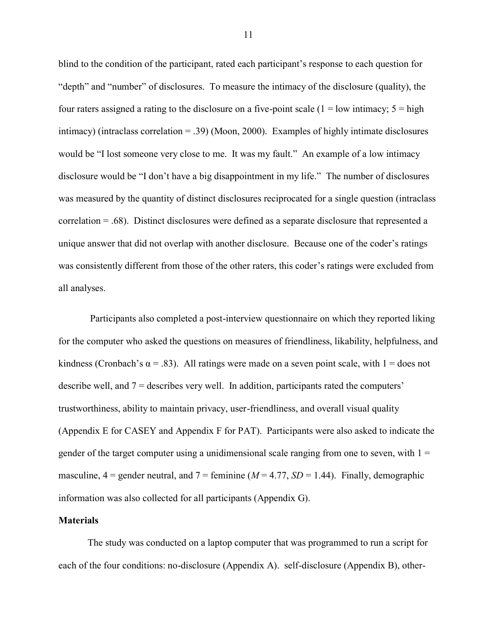blind to the condition of the participant, rated each participant's response to each question for "depth" and "number" of disclosures. To measure the intimacy of the disclosure (quality), the four raters assigned a rating to the disclosure on a five-point scale  $(1 = low$  intimacy;  $5 = high$ intimacy) (intraclass correlation  $=$  .39) (Moon, 2000). Examples of highly intimate disclosures would be "I lost someone very close to me. It was my fault." An example of a low intimacy disclosure would be "I don't have a big disappointment in my life." The number of disclosures was measured by the quantity of distinct disclosures reciprocated for a single question (intraclass correlation = .68). Distinct disclosures were defined as a separate disclosure that represented a unique answer that did not overlap with another disclosure. Because one of the coder's ratings was consistently different from those of the other raters, this coder's ratings were excluded from all analyses.

Participants also completed a post-interview questionnaire on which they reported liking for the computer who asked the questions on measures of friendliness, likability, helpfulness, and kindness (Cronbach's  $\alpha$  = .83). All ratings were made on a seven point scale, with 1 = does not describe well, and 7 = describes very well. In addition, participants rated the computers' trustworthiness, ability to maintain privacy, user-friendliness, and overall visual quality (Appendix E for CASEY and Appendix F for PAT). Participants were also asked to indicate the gender of the target computer using a unidimensional scale ranging from one to seven, with  $1 =$ masculine,  $4 =$  gender neutral, and  $7 =$  feminine ( $M = 4.77$ ,  $SD = 1.44$ ). Finally, demographic information was also collected for all participants (Appendix G).

## **Materials**

The study was conducted on a laptop computer that was programmed to run a script for each of the four conditions: no-disclosure (Appendix A). self-disclosure (Appendix B), other-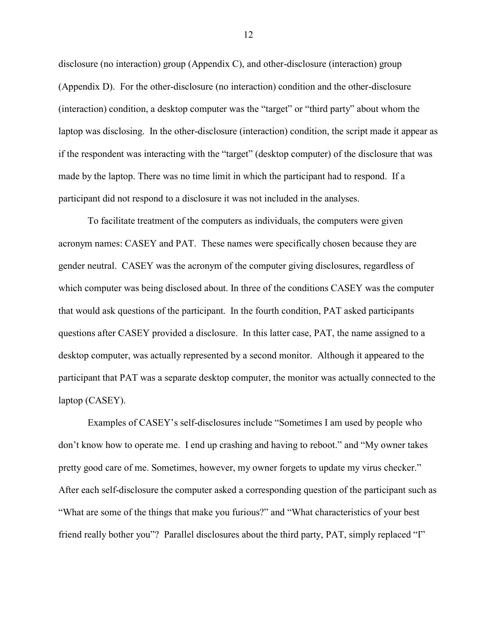disclosure (no interaction) group (Appendix C), and other-disclosure (interaction) group (Appendix D). For the other-disclosure (no interaction) condition and the other-disclosure (interaction) condition, a desktop computer was the "target" or "third party" about whom the laptop was disclosing. In the other-disclosure (interaction) condition, the script made it appear as if the respondent was interacting with the "target" (desktop computer) of the disclosure that was made by the laptop. There was no time limit in which the participant had to respond. If a participant did not respond to a disclosure it was not included in the analyses.

To facilitate treatment of the computers as individuals, the computers were given acronym names: CASEY and PAT. These names were specifically chosen because they are gender neutral. CASEY was the acronym of the computer giving disclosures, regardless of which computer was being disclosed about. In three of the conditions CASEY was the computer that would ask questions of the participant. In the fourth condition, PAT asked participants questions after CASEY provided a disclosure. In this latter case, PAT, the name assigned to a desktop computer, was actually represented by a second monitor. Although it appeared to the participant that PAT was a separate desktop computer, the monitor was actually connected to the laptop (CASEY).

Examples of CASEY's self-disclosures include "Sometimes I am used by people who don't know how to operate me. I end up crashing and having to reboot." and "My owner takes pretty good care of me. Sometimes, however, my owner forgets to update my virus checker." After each self-disclosure the computer asked a corresponding question of the participant such as "What are some of the things that make you furious?" and "What characteristics of your best friend really bother you"? Parallel disclosures about the third party, PAT, simply replaced "I"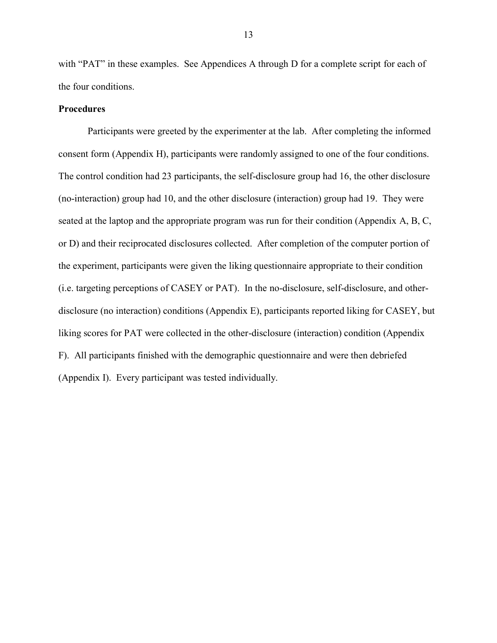with "PAT" in these examples. See Appendices A through D for a complete script for each of the four conditions.

## **Procedures**

Participants were greeted by the experimenter at the lab. After completing the informed consent form (Appendix H), participants were randomly assigned to one of the four conditions. The control condition had 23 participants, the self-disclosure group had 16, the other disclosure (no-interaction) group had 10, and the other disclosure (interaction) group had 19. They were seated at the laptop and the appropriate program was run for their condition (Appendix A, B, C, or D) and their reciprocated disclosures collected. After completion of the computer portion of the experiment, participants were given the liking questionnaire appropriate to their condition (i.e. targeting perceptions of CASEY or PAT). In the no-disclosure, self-disclosure, and otherdisclosure (no interaction) conditions (Appendix E), participants reported liking for CASEY, but liking scores for PAT were collected in the other-disclosure (interaction) condition (Appendix F). All participants finished with the demographic questionnaire and were then debriefed (Appendix I). Every participant was tested individually.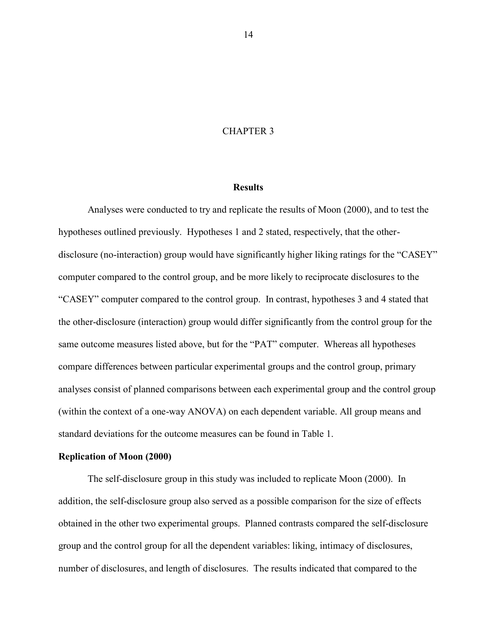## CHAPTER 3

## **Results**

Analyses were conducted to try and replicate the results of Moon (2000), and to test the hypotheses outlined previously. Hypotheses 1 and 2 stated, respectively, that the otherdisclosure (no-interaction) group would have significantly higher liking ratings for the "CASEY" computer compared to the control group, and be more likely to reciprocate disclosures to the "CASEY" computer compared to the control group. In contrast, hypotheses 3 and 4 stated that the other-disclosure (interaction) group would differ significantly from the control group for the same outcome measures listed above, but for the "PAT" computer. Whereas all hypotheses compare differences between particular experimental groups and the control group, primary analyses consist of planned comparisons between each experimental group and the control group (within the context of a one-way ANOVA) on each dependent variable. All group means and standard deviations for the outcome measures can be found in Table 1.

#### **Replication of Moon (2000)**

The self-disclosure group in this study was included to replicate Moon (2000). In addition, the self-disclosure group also served as a possible comparison for the size of effects obtained in the other two experimental groups. Planned contrasts compared the self-disclosure group and the control group for all the dependent variables: liking, intimacy of disclosures, number of disclosures, and length of disclosures. The results indicated that compared to the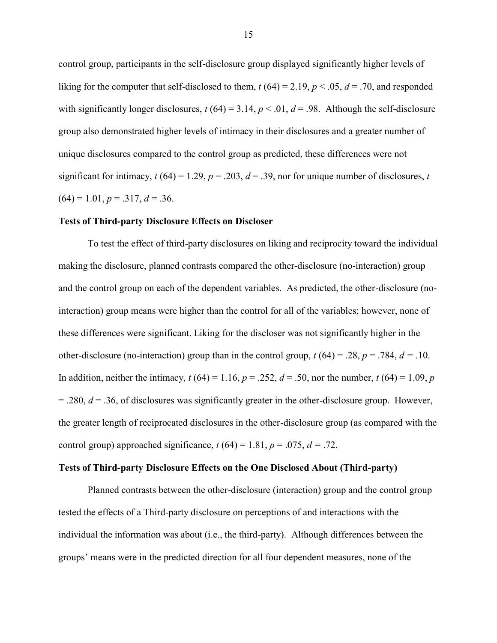control group, participants in the self-disclosure group displayed significantly higher levels of liking for the computer that self-disclosed to them,  $t(64) = 2.19$ ,  $p < .05$ ,  $d = .70$ , and responded with significantly longer disclosures,  $t (64) = 3.14$ ,  $p < .01$ ,  $d = .98$ . Although the self-disclosure group also demonstrated higher levels of intimacy in their disclosures and a greater number of unique disclosures compared to the control group as predicted, these differences were not significant for intimacy,  $t(64) = 1.29$ ,  $p = .203$ ,  $d = .39$ , nor for unique number of disclosures, *t*  $(64) = 1.01, p = .317, d = .36.$ 

### **Tests of Third-party Disclosure Effects on Discloser**

To test the effect of third-party disclosures on liking and reciprocity toward the individual making the disclosure, planned contrasts compared the other-disclosure (no-interaction) group and the control group on each of the dependent variables. As predicted, the other-disclosure (nointeraction) group means were higher than the control for all of the variables; however, none of these differences were significant. Liking for the discloser was not significantly higher in the other-disclosure (no-interaction) group than in the control group,  $t (64) = .28$ ,  $p = .784$ ,  $d = .10$ . In addition, neither the intimacy,  $t(64) = 1.16$ ,  $p = .252$ ,  $d = .50$ , nor the number,  $t(64) = 1.09$ ,  $p = .252$ = .280, *d* = .36, of disclosures was significantly greater in the other-disclosure group. However, the greater length of reciprocated disclosures in the other-disclosure group (as compared with the control group) approached significance,  $t(64) = 1.81$ ,  $p = .075$ ,  $d = .72$ .

## **Tests of Third-party Disclosure Effects on the One Disclosed About (Third-party)**

Planned contrasts between the other-disclosure (interaction) group and the control group tested the effects of a Third-party disclosure on perceptions of and interactions with the individual the information was about (i.e., the third-party). Although differences between the groups' means were in the predicted direction for all four dependent measures, none of the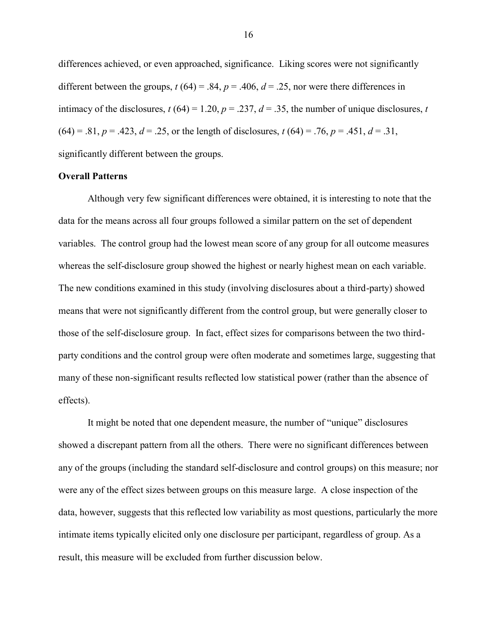differences achieved, or even approached, significance. Liking scores were not significantly different between the groups,  $t(64) = .84$ ,  $p = .406$ ,  $d = .25$ , nor were there differences in intimacy of the disclosures,  $t(64) = 1.20$ ,  $p = .237$ ,  $d = .35$ , the number of unique disclosures, *t*  $(64) = .81, p = .423, d = .25$ , or the length of disclosures,  $t(64) = .76, p = .451, d = .31$ , significantly different between the groups.

### **Overall Patterns**

Although very few significant differences were obtained, it is interesting to note that the data for the means across all four groups followed a similar pattern on the set of dependent variables. The control group had the lowest mean score of any group for all outcome measures whereas the self-disclosure group showed the highest or nearly highest mean on each variable. The new conditions examined in this study (involving disclosures about a third-party) showed means that were not significantly different from the control group, but were generally closer to those of the self-disclosure group. In fact, effect sizes for comparisons between the two thirdparty conditions and the control group were often moderate and sometimes large, suggesting that many of these non-significant results reflected low statistical power (rather than the absence of effects).

It might be noted that one dependent measure, the number of "unique" disclosures showed a discrepant pattern from all the others. There were no significant differences between any of the groups (including the standard self-disclosure and control groups) on this measure; nor were any of the effect sizes between groups on this measure large. A close inspection of the data, however, suggests that this reflected low variability as most questions, particularly the more intimate items typically elicited only one disclosure per participant, regardless of group. As a result, this measure will be excluded from further discussion below.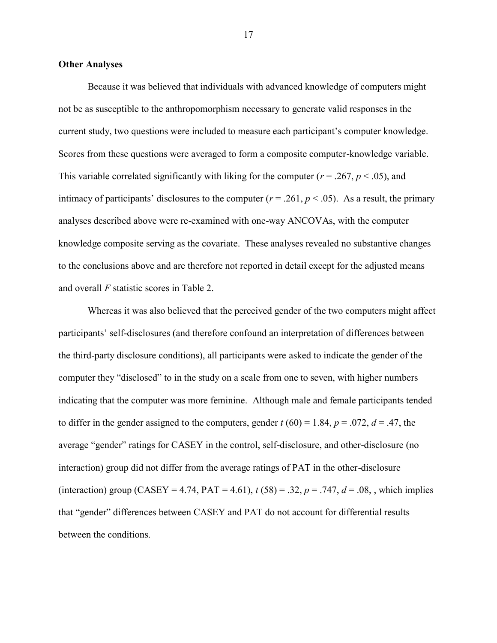## **Other Analyses**

Because it was believed that individuals with advanced knowledge of computers might not be as susceptible to the anthropomorphism necessary to generate valid responses in the current study, two questions were included to measure each participant's computer knowledge. Scores from these questions were averaged to form a composite computer-knowledge variable. This variable correlated significantly with liking for the computer ( $r = .267$ ,  $p < .05$ ), and intimacy of participants' disclosures to the computer ( $r = .261$ ,  $p < .05$ ). As a result, the primary analyses described above were re-examined with one-way ANCOVAs, with the computer knowledge composite serving as the covariate. These analyses revealed no substantive changes to the conclusions above and are therefore not reported in detail except for the adjusted means and overall *F* statistic scores in Table 2.

Whereas it was also believed that the perceived gender of the two computers might affect participants' self-disclosures (and therefore confound an interpretation of differences between the third-party disclosure conditions), all participants were asked to indicate the gender of the computer they "disclosed" to in the study on a scale from one to seven, with higher numbers indicating that the computer was more feminine. Although male and female participants tended to differ in the gender assigned to the computers, gender  $t (60) = 1.84$ ,  $p = .072$ ,  $d = .47$ , the average "gender" ratings for CASEY in the control, self-disclosure, and other-disclosure (no interaction) group did not differ from the average ratings of PAT in the other-disclosure (interaction) group (CASEY = 4.74, PAT = 4.61),  $t (58) = .32$ ,  $p = .747$ ,  $d = .08$ , which implies that "gender" differences between CASEY and PAT do not account for differential results between the conditions.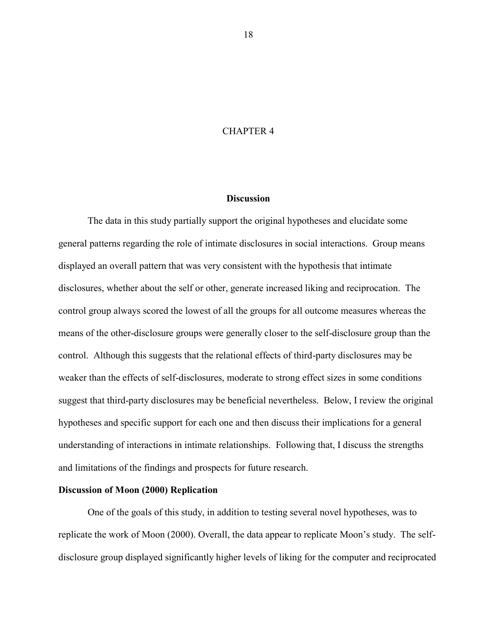## CHAPTER 4

#### **Discussion**

The data in this study partially support the original hypotheses and elucidate some general patterns regarding the role of intimate disclosures in social interactions. Group means displayed an overall pattern that was very consistent with the hypothesis that intimate disclosures, whether about the self or other, generate increased liking and reciprocation. The control group always scored the lowest of all the groups for all outcome measures whereas the means of the other-disclosure groups were generally closer to the self-disclosure group than the control. Although this suggests that the relational effects of third-party disclosures may be weaker than the effects of self-disclosures, moderate to strong effect sizes in some conditions suggest that third-party disclosures may be beneficial nevertheless. Below, I review the original hypotheses and specific support for each one and then discuss their implications for a general understanding of interactions in intimate relationships. Following that, I discuss the strengths and limitations of the findings and prospects for future research.

#### **Discussion of Moon (2000) Replication**

One of the goals of this study, in addition to testing several novel hypotheses, was to replicate the work of Moon (2000). Overall, the data appear to replicate Moon's study. The selfdisclosure group displayed significantly higher levels of liking for the computer and reciprocated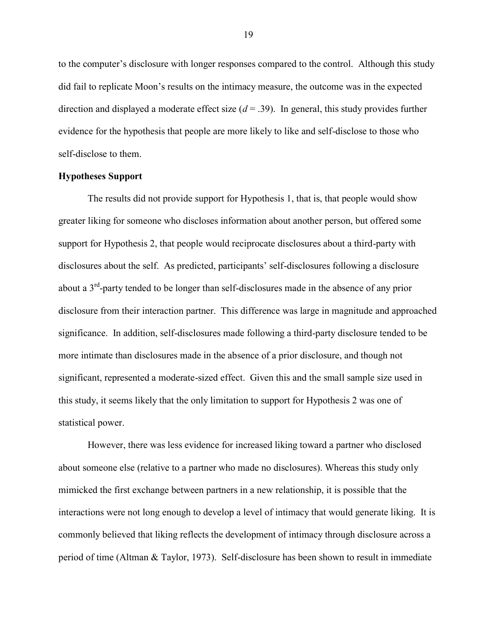to the computer's disclosure with longer responses compared to the control. Although this study did fail to replicate Moon's results on the intimacy measure, the outcome was in the expected direction and displayed a moderate effect size  $(d = .39)$ . In general, this study provides further evidence for the hypothesis that people are more likely to like and self-disclose to those who self-disclose to them.

## **Hypotheses Support**

The results did not provide support for Hypothesis 1, that is, that people would show greater liking for someone who discloses information about another person, but offered some support for Hypothesis 2, that people would reciprocate disclosures about a third-party with disclosures about the self. As predicted, participants' self-disclosures following a disclosure about a 3<sup>rd</sup>-party tended to be longer than self-disclosures made in the absence of any prior disclosure from their interaction partner. This difference was large in magnitude and approached significance. In addition, self-disclosures made following a third-party disclosure tended to be more intimate than disclosures made in the absence of a prior disclosure, and though not significant, represented a moderate-sized effect. Given this and the small sample size used in this study, it seems likely that the only limitation to support for Hypothesis 2 was one of statistical power.

However, there was less evidence for increased liking toward a partner who disclosed about someone else (relative to a partner who made no disclosures). Whereas this study only mimicked the first exchange between partners in a new relationship, it is possible that the interactions were not long enough to develop a level of intimacy that would generate liking. It is commonly believed that liking reflects the development of intimacy through disclosure across a period of time (Altman & Taylor, 1973). Self-disclosure has been shown to result in immediate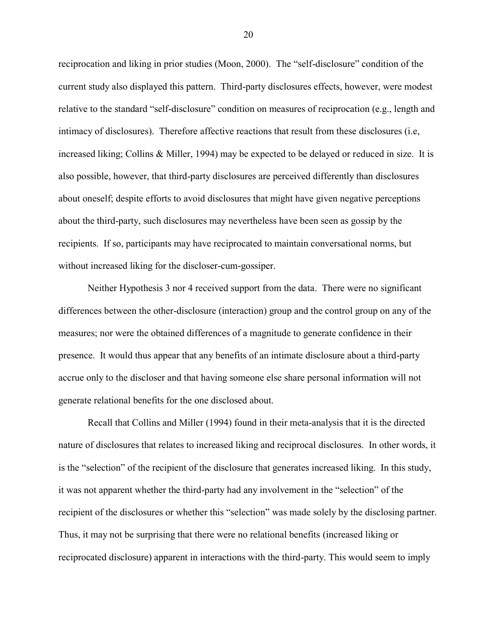reciprocation and liking in prior studies (Moon, 2000). The "self-disclosure" condition of the current study also displayed this pattern. Third-party disclosures effects, however, were modest relative to the standard "self-disclosure" condition on measures of reciprocation (e.g., length and intimacy of disclosures). Therefore affective reactions that result from these disclosures (i.e, increased liking; Collins & Miller, 1994) may be expected to be delayed or reduced in size. It is also possible, however, that third-party disclosures are perceived differently than disclosures about oneself; despite efforts to avoid disclosures that might have given negative perceptions about the third-party, such disclosures may nevertheless have been seen as gossip by the recipients. If so, participants may have reciprocated to maintain conversational norms, but without increased liking for the discloser-cum-gossiper.

Neither Hypothesis 3 nor 4 received support from the data. There were no significant differences between the other-disclosure (interaction) group and the control group on any of the measures; nor were the obtained differences of a magnitude to generate confidence in their presence. It would thus appear that any benefits of an intimate disclosure about a third-party accrue only to the discloser and that having someone else share personal information will not generate relational benefits for the one disclosed about.

Recall that Collins and Miller (1994) found in their meta-analysis that it is the directed nature of disclosures that relates to increased liking and reciprocal disclosures. In other words, it is the "selection" of the recipient of the disclosure that generates increased liking. In this study, it was not apparent whether the third-party had any involvement in the "selection" of the recipient of the disclosures or whether this "selection" was made solely by the disclosing partner. Thus, it may not be surprising that there were no relational benefits (increased liking or reciprocated disclosure) apparent in interactions with the third-party. This would seem to imply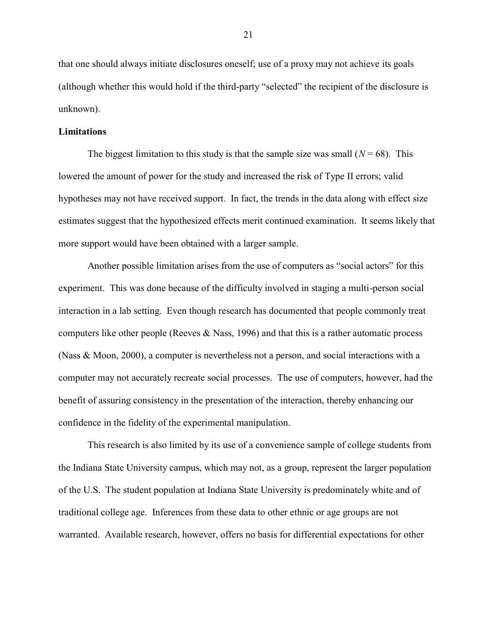that one should always initiate disclosures oneself; use of a proxy may not achieve its goals (although whether this would hold if the third-party "selected" the recipient of the disclosure is unknown).

## **Limitations**

The biggest limitation to this study is that the sample size was small  $(N = 68)$ . This lowered the amount of power for the study and increased the risk of Type II errors; valid hypotheses may not have received support. In fact, the trends in the data along with effect size estimates suggest that the hypothesized effects merit continued examination. It seems likely that more support would have been obtained with a larger sample.

Another possible limitation arises from the use of computers as "social actors" for this experiment. This was done because of the difficulty involved in staging a multi-person social interaction in a lab setting. Even though research has documented that people commonly treat computers like other people (Reeves  $\&$  Nass, 1996) and that this is a rather automatic process (Nass & Moon, 2000), a computer is nevertheless not a person, and social interactions with a computer may not accurately recreate social processes. The use of computers, however, had the benefit of assuring consistency in the presentation of the interaction, thereby enhancing our confidence in the fidelity of the experimental manipulation.

This research is also limited by its use of a convenience sample of college students from the Indiana State University campus, which may not, as a group, represent the larger population of the U.S. The student population at Indiana State University is predominately white and of traditional college age. Inferences from these data to other ethnic or age groups are not warranted. Available research, however, offers no basis for differential expectations for other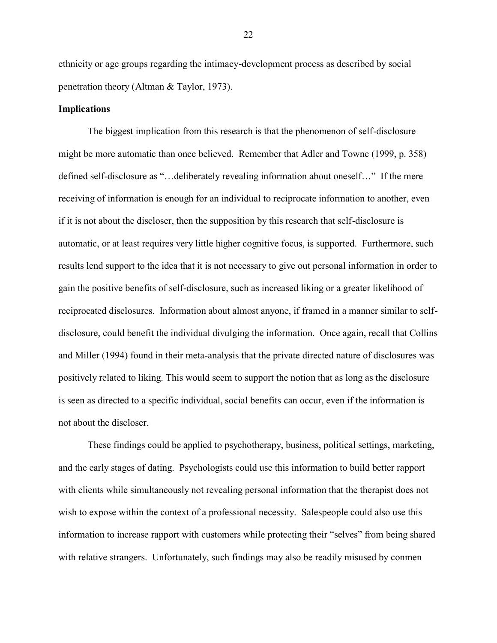ethnicity or age groups regarding the intimacy-development process as described by social penetration theory (Altman & Taylor, 1973).

### **Implications**

The biggest implication from this research is that the phenomenon of self-disclosure might be more automatic than once believed. Remember that Adler and Towne (1999, p. 358) defined self-disclosure as "…deliberately revealing information about oneself…" If the mere receiving of information is enough for an individual to reciprocate information to another, even if it is not about the discloser, then the supposition by this research that self-disclosure is automatic, or at least requires very little higher cognitive focus, is supported. Furthermore, such results lend support to the idea that it is not necessary to give out personal information in order to gain the positive benefits of self-disclosure, such as increased liking or a greater likelihood of reciprocated disclosures. Information about almost anyone, if framed in a manner similar to selfdisclosure, could benefit the individual divulging the information. Once again, recall that Collins and Miller (1994) found in their meta-analysis that the private directed nature of disclosures was positively related to liking. This would seem to support the notion that as long as the disclosure is seen as directed to a specific individual, social benefits can occur, even if the information is not about the discloser.

These findings could be applied to psychotherapy, business, political settings, marketing, and the early stages of dating. Psychologists could use this information to build better rapport with clients while simultaneously not revealing personal information that the therapist does not wish to expose within the context of a professional necessity. Salespeople could also use this information to increase rapport with customers while protecting their "selves" from being shared with relative strangers. Unfortunately, such findings may also be readily misused by conmen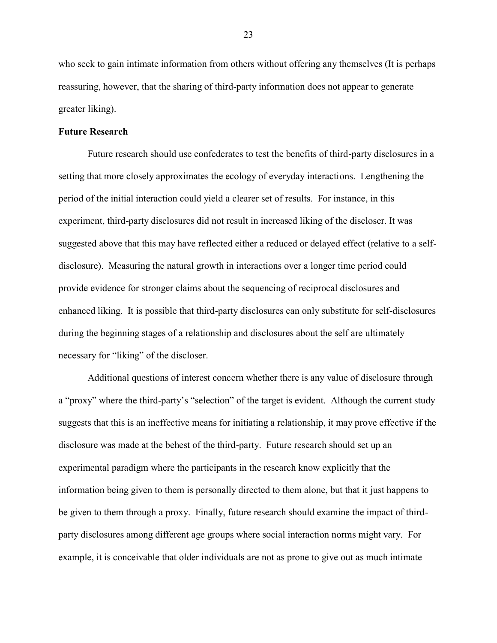who seek to gain intimate information from others without offering any themselves (It is perhaps reassuring, however, that the sharing of third-party information does not appear to generate greater liking).

## **Future Research**

Future research should use confederates to test the benefits of third-party disclosures in a setting that more closely approximates the ecology of everyday interactions. Lengthening the period of the initial interaction could yield a clearer set of results. For instance, in this experiment, third-party disclosures did not result in increased liking of the discloser. It was suggested above that this may have reflected either a reduced or delayed effect (relative to a selfdisclosure). Measuring the natural growth in interactions over a longer time period could provide evidence for stronger claims about the sequencing of reciprocal disclosures and enhanced liking. It is possible that third-party disclosures can only substitute for self-disclosures during the beginning stages of a relationship and disclosures about the self are ultimately necessary for "liking" of the discloser.

Additional questions of interest concern whether there is any value of disclosure through a "proxy" where the third-party's "selection" of the target is evident. Although the current study suggests that this is an ineffective means for initiating a relationship, it may prove effective if the disclosure was made at the behest of the third-party. Future research should set up an experimental paradigm where the participants in the research know explicitly that the information being given to them is personally directed to them alone, but that it just happens to be given to them through a proxy. Finally, future research should examine the impact of thirdparty disclosures among different age groups where social interaction norms might vary. For example, it is conceivable that older individuals are not as prone to give out as much intimate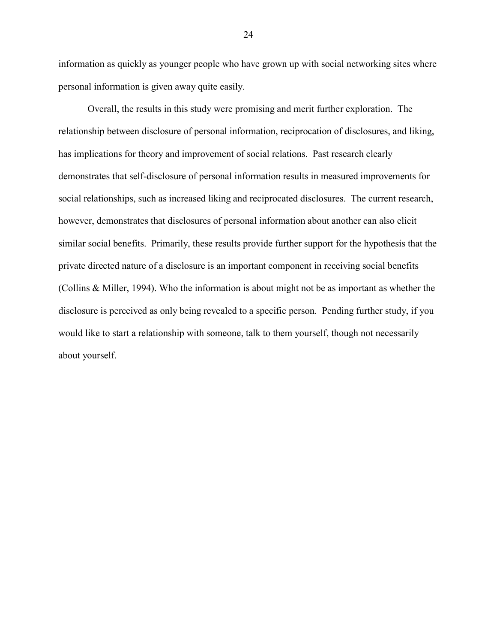information as quickly as younger people who have grown up with social networking sites where personal information is given away quite easily.

Overall, the results in this study were promising and merit further exploration. The relationship between disclosure of personal information, reciprocation of disclosures, and liking, has implications for theory and improvement of social relations. Past research clearly demonstrates that self-disclosure of personal information results in measured improvements for social relationships, such as increased liking and reciprocated disclosures. The current research, however, demonstrates that disclosures of personal information about another can also elicit similar social benefits. Primarily, these results provide further support for the hypothesis that the private directed nature of a disclosure is an important component in receiving social benefits (Collins & Miller, 1994). Who the information is about might not be as important as whether the disclosure is perceived as only being revealed to a specific person. Pending further study, if you would like to start a relationship with someone, talk to them yourself, though not necessarily about yourself.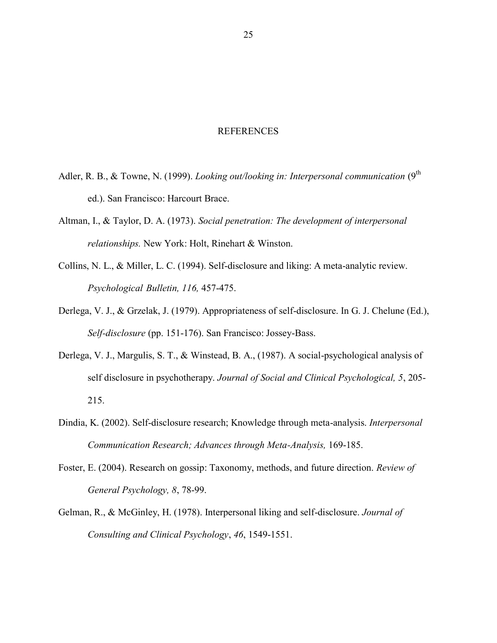### REFERENCES

- Adler, R. B., & Towne, N. (1999). *Looking out/looking in: Interpersonal communication* (9<sup>th</sup> ed.). San Francisco: Harcourt Brace.
- Altman, I., & Taylor, D. A. (1973). *Social penetration: The development of interpersonal relationships.* New York: Holt, Rinehart & Winston.
- Collins, N. L., & Miller, L. C. (1994). Self-disclosure and liking: A meta-analytic review. *Psychological Bulletin, 116,* 457-475.
- Derlega, V. J., & Grzelak, J. (1979). Appropriateness of self-disclosure. In G. J. Chelune (Ed.), *Self-disclosure* (pp. 151-176). San Francisco: Jossey-Bass.
- Derlega, V. J., Margulis, S. T., & Winstead, B. A., (1987). A social-psychological analysis of self disclosure in psychotherapy. *Journal of Social and Clinical Psychological, 5*, 205- 215.
- Dindia, K. (2002). Self-disclosure research; Knowledge through meta-analysis. *Interpersonal Communication Research; Advances through Meta-Analysis,* 169-185.
- Foster, E. (2004). Research on gossip: Taxonomy, methods, and future direction. *Review of General Psychology, 8*, 78-99.
- Gelman, R., & McGinley, H. (1978). Interpersonal liking and self-disclosure. *Journal of Consulting and Clinical Psychology*, *46*, 1549-1551.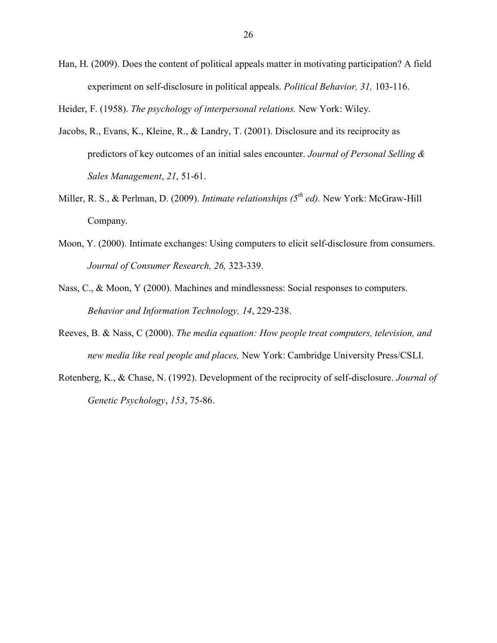Han, H. (2009). Does the content of political appeals matter in motivating participation? A field experiment on self-disclosure in political appeals. *Political Behavior, 31,* 103-116.

Heider, F. (1958). *The psychology of interpersonal relations.* New York: Wiley.

- Jacobs, R., Evans, K., Kleine, R., & Landry, T. (2001). Disclosure and its reciprocity as predictors of key outcomes of an initial sales encounter. *Journal of Personal Selling & Sales Management*, *21*, 51-61.
- Miller, R. S., & Perlman, D. (2009). *Intimate relationships (5th ed).* New York: McGraw-Hill Company.
- Moon, Y. (2000). Intimate exchanges: Using computers to elicit self-disclosure from consumers. *Journal of Consumer Research, 26,* 323-339.
- Nass, C., & Moon, Y (2000). Machines and mindlessness: Social responses to computers. *Behavior and Information Technology, 14*, 229-238.
- Reeves, B. & Nass, C (2000). *The media equation: How people treat computers, television, and new media like real people and places,* New York: Cambridge University Press/CSLI.
- Rotenberg, K., & Chase, N. (1992). Development of the reciprocity of self-disclosure. *Journal of Genetic Psychology*, *153*, 75-86.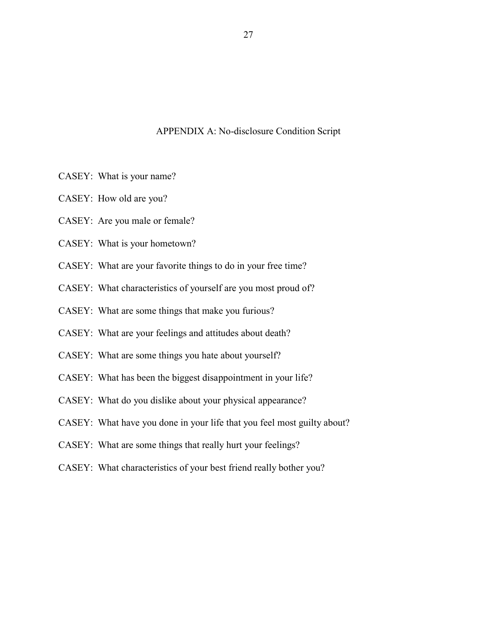## APPENDIX A: No-disclosure Condition Script

- CASEY: What is your name?
- CASEY: How old are you?
- CASEY: Are you male or female?
- CASEY: What is your hometown?
- CASEY: What are your favorite things to do in your free time?
- CASEY: What characteristics of yourself are you most proud of?
- CASEY: What are some things that make you furious?
- CASEY: What are your feelings and attitudes about death?
- CASEY: What are some things you hate about yourself?
- CASEY: What has been the biggest disappointment in your life?
- CASEY: What do you dislike about your physical appearance?
- CASEY: What have you done in your life that you feel most guilty about?
- CASEY: What are some things that really hurt your feelings?
- CASEY: What characteristics of your best friend really bother you?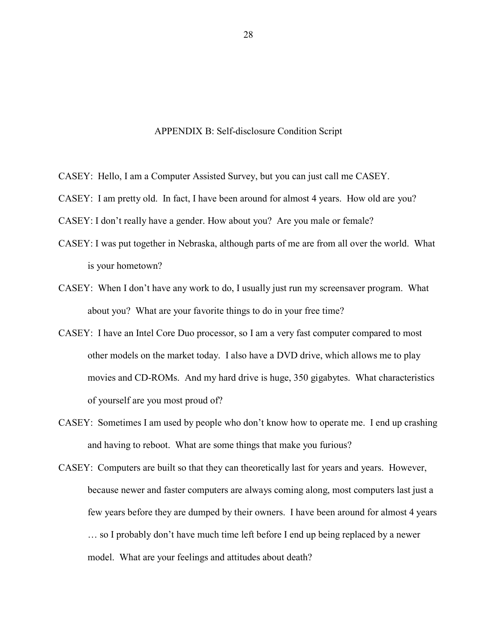#### APPENDIX B: Self-disclosure Condition Script

- CASEY: Hello, I am a Computer Assisted Survey, but you can just call me CASEY.
- CASEY: I am pretty old. In fact, I have been around for almost 4 years. How old are you?
- CASEY: I don't really have a gender. How about you? Are you male or female?
- CASEY: I was put together in Nebraska, although parts of me are from all over the world. What is your hometown?
- CASEY: When I don't have any work to do, I usually just run my screensaver program. What about you? What are your favorite things to do in your free time?
- CASEY: I have an Intel Core Duo processor, so I am a very fast computer compared to most other models on the market today. I also have a DVD drive, which allows me to play movies and CD-ROMs. And my hard drive is huge, 350 gigabytes. What characteristics of yourself are you most proud of?
- CASEY: Sometimes I am used by people who don't know how to operate me. I end up crashing and having to reboot. What are some things that make you furious?
- CASEY: Computers are built so that they can theoretically last for years and years. However, because newer and faster computers are always coming along, most computers last just a few years before they are dumped by their owners. I have been around for almost 4 years … so I probably don't have much time left before I end up being replaced by a newer model. What are your feelings and attitudes about death?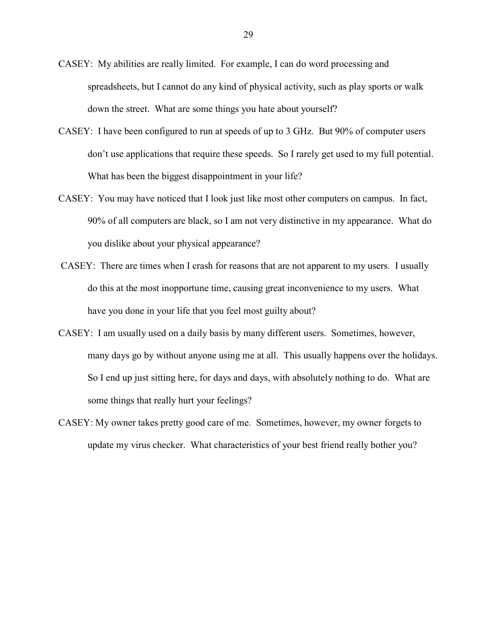- CASEY: My abilities are really limited. For example, I can do word processing and spreadsheets, but I cannot do any kind of physical activity, such as play sports or walk down the street. What are some things you hate about yourself?
- CASEY: I have been configured to run at speeds of up to 3 GHz. But 90% of computer users don't use applications that require these speeds. So I rarely get used to my full potential. What has been the biggest disappointment in your life?
- CASEY: You may have noticed that I look just like most other computers on campus. In fact, 90% of all computers are black, so I am not very distinctive in my appearance. What do you dislike about your physical appearance?
- CASEY: There are times when I crash for reasons that are not apparent to my users. I usually do this at the most inopportune time, causing great inconvenience to my users. What have you done in your life that you feel most guilty about?
- CASEY: I am usually used on a daily basis by many different users. Sometimes, however, many days go by without anyone using me at all. This usually happens over the holidays. So I end up just sitting here, for days and days, with absolutely nothing to do. What are some things that really hurt your feelings?
- CASEY: My owner takes pretty good care of me. Sometimes, however, my owner forgets to update my virus checker. What characteristics of your best friend really bother you?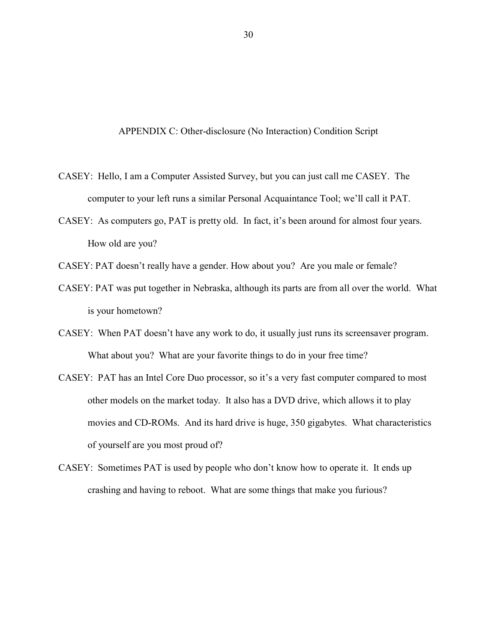APPENDIX C: Other-disclosure (No Interaction) Condition Script

- CASEY: Hello, I am a Computer Assisted Survey, but you can just call me CASEY. The computer to your left runs a similar Personal Acquaintance Tool; we'll call it PAT.
- CASEY: As computers go, PAT is pretty old. In fact, it's been around for almost four years. How old are you?
- CASEY: PAT doesn't really have a gender. How about you? Are you male or female?
- CASEY: PAT was put together in Nebraska, although its parts are from all over the world. What is your hometown?
- CASEY: When PAT doesn't have any work to do, it usually just runs its screensaver program. What about you? What are your favorite things to do in your free time?
- CASEY: PAT has an Intel Core Duo processor, so it's a very fast computer compared to most other models on the market today. It also has a DVD drive, which allows it to play movies and CD-ROMs. And its hard drive is huge, 350 gigabytes. What characteristics of yourself are you most proud of?
- CASEY: Sometimes PAT is used by people who don't know how to operate it. It ends up crashing and having to reboot. What are some things that make you furious?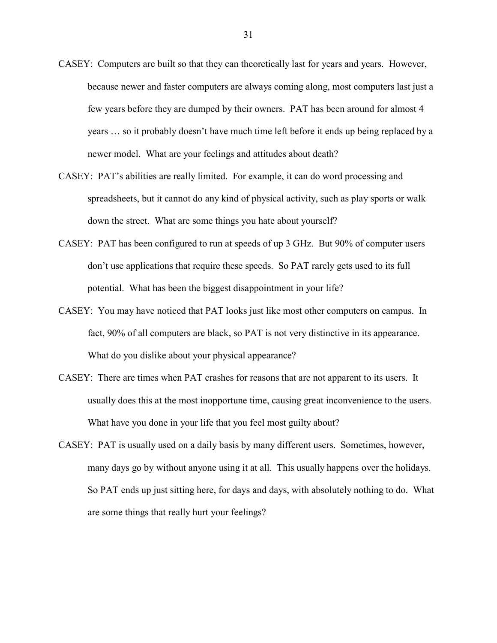- CASEY: Computers are built so that they can theoretically last for years and years. However, because newer and faster computers are always coming along, most computers last just a few years before they are dumped by their owners. PAT has been around for almost 4 years … so it probably doesn't have much time left before it ends up being replaced by a newer model. What are your feelings and attitudes about death?
- CASEY: PAT's abilities are really limited. For example, it can do word processing and spreadsheets, but it cannot do any kind of physical activity, such as play sports or walk down the street. What are some things you hate about yourself?
- CASEY: PAT has been configured to run at speeds of up 3 GHz. But 90% of computer users don't use applications that require these speeds. So PAT rarely gets used to its full potential. What has been the biggest disappointment in your life?
- CASEY: You may have noticed that PAT looks just like most other computers on campus. In fact, 90% of all computers are black, so PAT is not very distinctive in its appearance. What do you dislike about your physical appearance?
- CASEY: There are times when PAT crashes for reasons that are not apparent to its users. It usually does this at the most inopportune time, causing great inconvenience to the users. What have you done in your life that you feel most guilty about?
- CASEY: PAT is usually used on a daily basis by many different users. Sometimes, however, many days go by without anyone using it at all. This usually happens over the holidays. So PAT ends up just sitting here, for days and days, with absolutely nothing to do. What are some things that really hurt your feelings?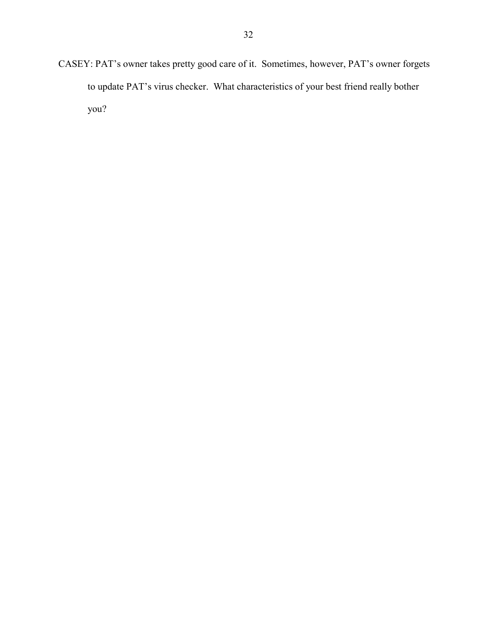CASEY: PAT's owner takes pretty good care of it. Sometimes, however, PAT's owner forgets to update PAT's virus checker. What characteristics of your best friend really bother you?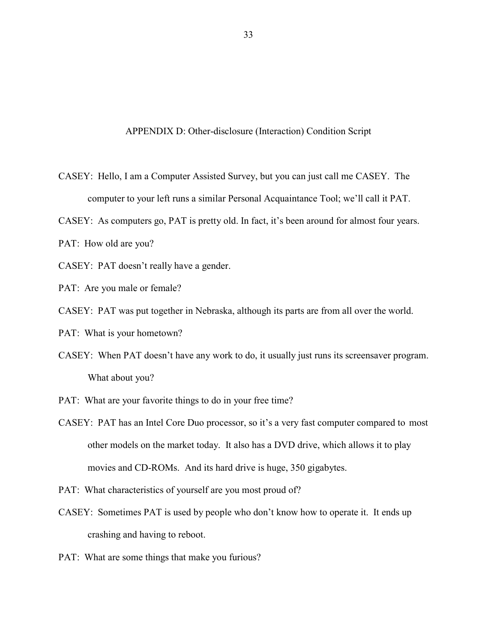APPENDIX D: Other-disclosure (Interaction) Condition Script

- CASEY: Hello, I am a Computer Assisted Survey, but you can just call me CASEY. The computer to your left runs a similar Personal Acquaintance Tool; we'll call it PAT.
- CASEY: As computers go, PAT is pretty old. In fact, it's been around for almost four years.
- PAT: How old are you?
- CASEY: PAT doesn't really have a gender.
- PAT: Are you male or female?
- CASEY: PAT was put together in Nebraska, although its parts are from all over the world.
- PAT: What is your hometown?
- CASEY: When PAT doesn't have any work to do, it usually just runs its screensaver program. What about you?
- PAT: What are your favorite things to do in your free time?
- CASEY: PAT has an Intel Core Duo processor, so it's a very fast computer compared to most other models on the market today. It also has a DVD drive, which allows it to play movies and CD-ROMs. And its hard drive is huge, 350 gigabytes.
- PAT: What characteristics of yourself are you most proud of?
- CASEY: Sometimes PAT is used by people who don't know how to operate it. It ends up crashing and having to reboot.
- PAT: What are some things that make you furious?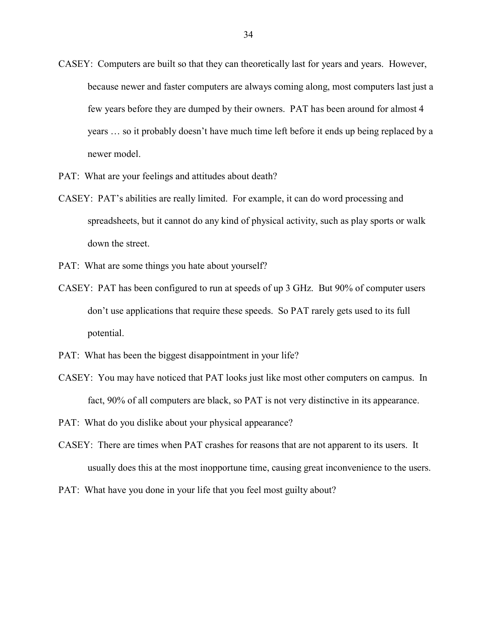- CASEY: Computers are built so that they can theoretically last for years and years. However, because newer and faster computers are always coming along, most computers last just a few years before they are dumped by their owners. PAT has been around for almost 4 years … so it probably doesn't have much time left before it ends up being replaced by a newer model.
- PAT: What are your feelings and attitudes about death?
- CASEY: PAT's abilities are really limited. For example, it can do word processing and spreadsheets, but it cannot do any kind of physical activity, such as play sports or walk down the street.
- PAT: What are some things you hate about yourself?
- CASEY: PAT has been configured to run at speeds of up 3 GHz. But 90% of computer users don't use applications that require these speeds. So PAT rarely gets used to its full potential.
- PAT: What has been the biggest disappointment in your life?
- CASEY: You may have noticed that PAT looks just like most other computers on campus. In fact, 90% of all computers are black, so PAT is not very distinctive in its appearance.
- PAT: What do you dislike about your physical appearance?
- CASEY: There are times when PAT crashes for reasons that are not apparent to its users. It usually does this at the most inopportune time, causing great inconvenience to the users.
- PAT: What have you done in your life that you feel most guilty about?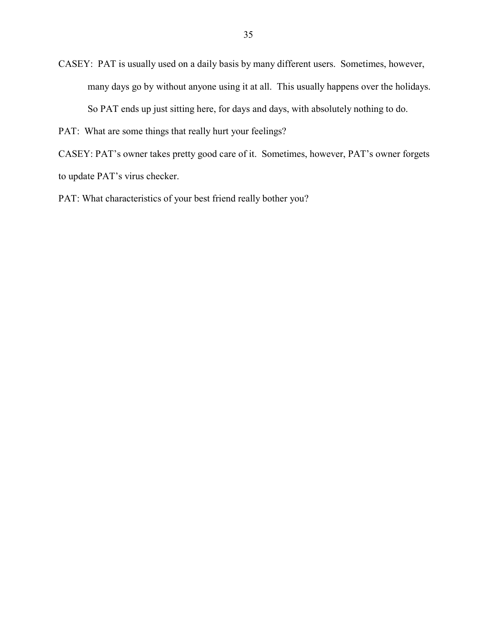CASEY: PAT is usually used on a daily basis by many different users. Sometimes, however, many days go by without anyone using it at all. This usually happens over the holidays. So PAT ends up just sitting here, for days and days, with absolutely nothing to do.

PAT: What are some things that really hurt your feelings?

CASEY: PAT's owner takes pretty good care of it. Sometimes, however, PAT's owner forgets to update PAT's virus checker.

PAT: What characteristics of your best friend really bother you?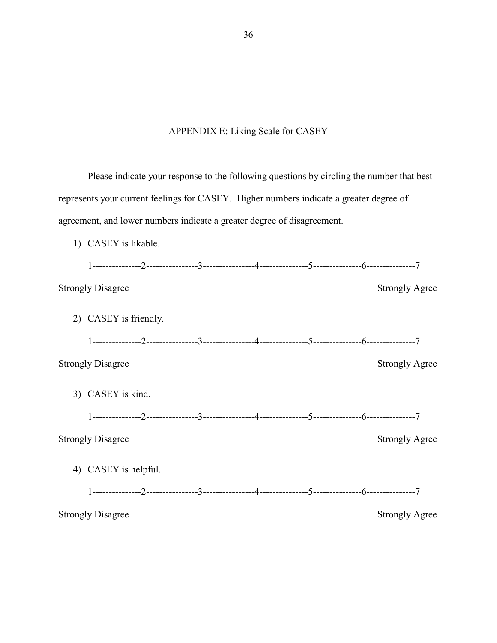# APPENDIX E: Liking Scale for CASEY

Please indicate your response to the following questions by circling the number that best represents your current feelings for CASEY. Higher numbers indicate a greater degree of agreement, and lower numbers indicate a greater degree of disagreement.

1) CASEY is likable.

|    | <b>Strongly Disagree</b> |  |  | <b>Strongly Agree</b> |
|----|--------------------------|--|--|-----------------------|
|    | 2) CASEY is friendly.    |  |  |                       |
|    |                          |  |  |                       |
|    | <b>Strongly Disagree</b> |  |  | <b>Strongly Agree</b> |
|    | 3) CASEY is kind.        |  |  |                       |
|    |                          |  |  |                       |
|    | <b>Strongly Disagree</b> |  |  | <b>Strongly Agree</b> |
| 4) | CASEY is helpful.        |  |  |                       |
|    |                          |  |  |                       |
|    | <b>Strongly Disagree</b> |  |  | <b>Strongly Agree</b> |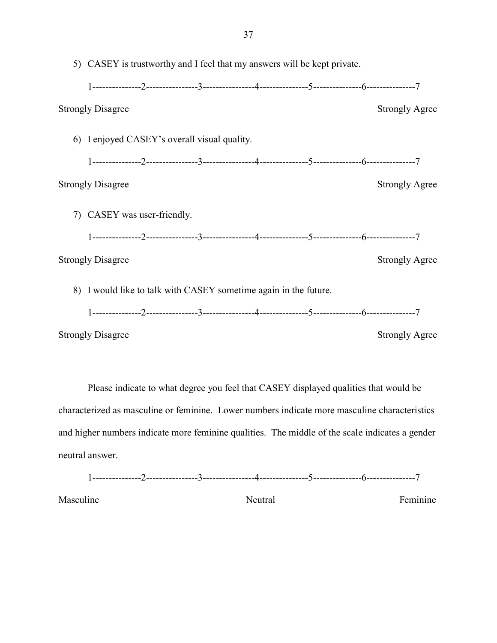| 5) CASEY is trustworthy and I feel that my answers will be kept private. |                       |  |  |  |  |
|--------------------------------------------------------------------------|-----------------------|--|--|--|--|
|                                                                          |                       |  |  |  |  |
| <b>Strongly Disagree</b>                                                 | <b>Strongly Agree</b> |  |  |  |  |
| 6) I enjoyed CASEY's overall visual quality.                             |                       |  |  |  |  |
|                                                                          |                       |  |  |  |  |
| <b>Strongly Disagree</b>                                                 | <b>Strongly Agree</b> |  |  |  |  |
| 7) CASEY was user-friendly.                                              |                       |  |  |  |  |
|                                                                          |                       |  |  |  |  |
| <b>Strongly Disagree</b>                                                 | <b>Strongly Agree</b> |  |  |  |  |
| 8) I would like to talk with CASEY sometime again in the future.         |                       |  |  |  |  |
|                                                                          |                       |  |  |  |  |
| <b>Strongly Disagree</b>                                                 | <b>Strongly Agree</b> |  |  |  |  |

Please indicate to what degree you feel that CASEY displayed qualities that would be characterized as masculine or feminine. Lower numbers indicate more masculine characteristics and higher numbers indicate more feminine qualities. The middle of the scale indicates a gender neutral answer.

$$
1 \cdot \ldots \cdot \ldots \cdot \ldots \cdot 2 \cdot \ldots \cdot \ldots \cdot \ldots \cdot 3 \cdot \ldots \cdot \ldots \cdot \ldots \cdot 4 \cdot \ldots \cdot \ldots \cdot \ldots \cdot 5 \cdot \ldots \cdot \ldots \cdot \cdot \ldots \cdot 6 \cdot \ldots \cdot \ldots \cdot \ldots \cdot 7
$$

Masculine **Neutral** Renainst Peminine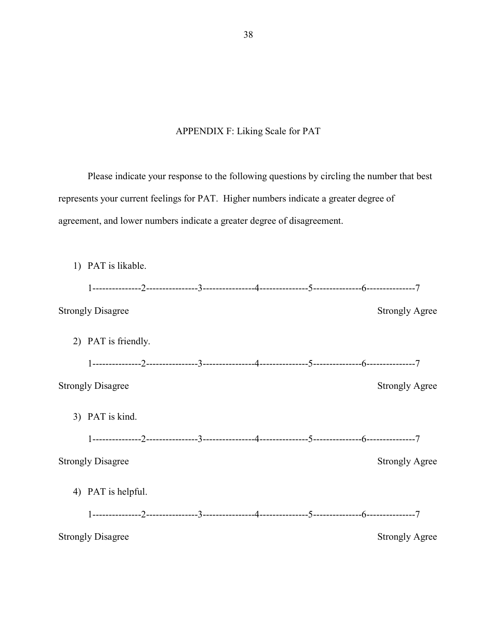# APPENDIX F: Liking Scale for PAT

Please indicate your response to the following questions by circling the number that best represents your current feelings for PAT. Higher numbers indicate a greater degree of agreement, and lower numbers indicate a greater degree of disagreement.

| 1) PAT is likable.       |  |  |                       |
|--------------------------|--|--|-----------------------|
|                          |  |  |                       |
| <b>Strongly Disagree</b> |  |  | <b>Strongly Agree</b> |
| 2) PAT is friendly.      |  |  |                       |
|                          |  |  |                       |
| <b>Strongly Disagree</b> |  |  | <b>Strongly Agree</b> |
| 3) PAT is kind.          |  |  |                       |
|                          |  |  |                       |
| <b>Strongly Disagree</b> |  |  | <b>Strongly Agree</b> |
| 4) PAT is helpful.       |  |  |                       |
|                          |  |  |                       |
| <b>Strongly Disagree</b> |  |  | <b>Strongly Agree</b> |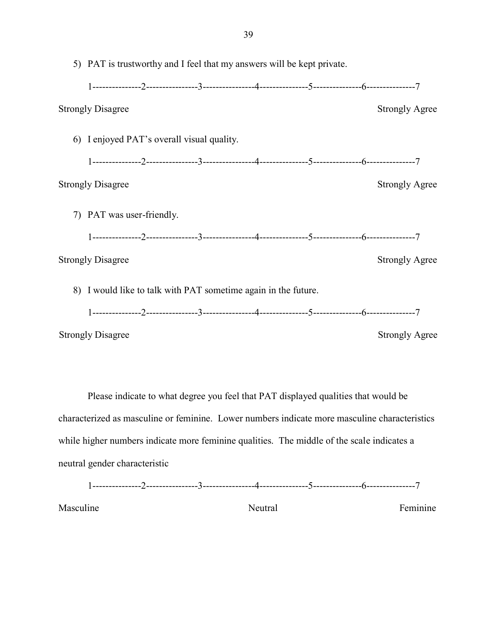|    | 5) PAT is trustworthy and I feel that my answers will be kept private. |                           |                                                                |  |  |  |                       |
|----|------------------------------------------------------------------------|---------------------------|----------------------------------------------------------------|--|--|--|-----------------------|
|    |                                                                        |                           |                                                                |  |  |  |                       |
|    | <b>Strongly Disagree</b>                                               |                           |                                                                |  |  |  | <b>Strongly Agree</b> |
| 6) |                                                                        |                           | I enjoyed PAT's overall visual quality.                        |  |  |  |                       |
|    |                                                                        |                           |                                                                |  |  |  |                       |
|    | <b>Strongly Disagree</b>                                               |                           |                                                                |  |  |  | <b>Strongly Agree</b> |
|    |                                                                        | 7) PAT was user-friendly. |                                                                |  |  |  |                       |
|    |                                                                        |                           |                                                                |  |  |  |                       |
|    | <b>Strongly Disagree</b>                                               |                           |                                                                |  |  |  | <b>Strongly Agree</b> |
|    |                                                                        |                           | 8) I would like to talk with PAT sometime again in the future. |  |  |  |                       |
|    |                                                                        |                           |                                                                |  |  |  |                       |
|    | <b>Strongly Disagree</b>                                               |                           |                                                                |  |  |  | <b>Strongly Agree</b> |

Please indicate to what degree you feel that PAT displayed qualities that would be characterized as masculine or feminine. Lower numbers indicate more masculine characteristics while higher numbers indicate more feminine qualities. The middle of the scale indicates a neutral gender characteristic

1---------------2----------------3----------------4---------------5---------------6---------------7

Masculine **Neutral** Neutral Feminine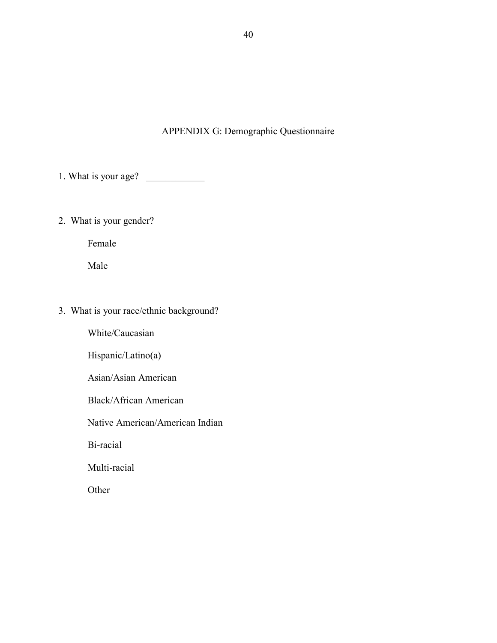## APPENDIX G: Demographic Questionnaire

1. What is your age?

2. What is your gender?

Female

Male

# 3. What is your race/ethnic background?

White/Caucasian

Hispanic/Latino(a)

Asian/Asian American

Black/African American

Native American/American Indian

Bi-racial

Multi-racial

Other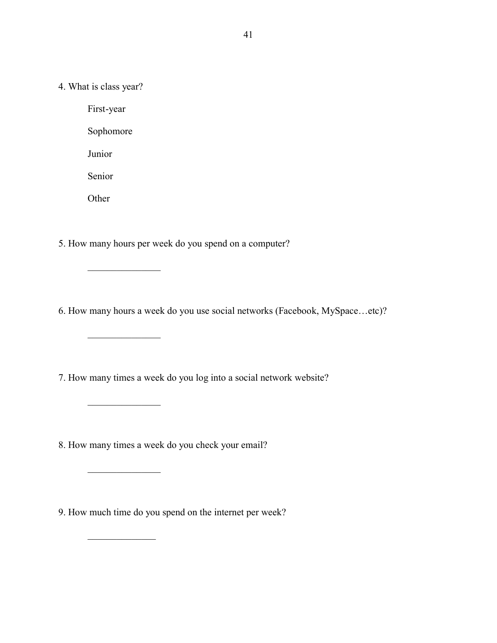4. What is class year?

First-year Sophomore Junior Senior

**Other** 

 $\overline{\phantom{a}}$  , where  $\overline{\phantom{a}}$  , where  $\overline{\phantom{a}}$ 

 $\overline{\phantom{a}}$  , and the set of the set of the set of the set of the set of the set of the set of the set of the set of the set of the set of the set of the set of the set of the set of the set of the set of the set of the s

 $\overline{\phantom{a}}$  , we can assume that the set of  $\overline{\phantom{a}}$ 

 $\frac{1}{2}$ 

 $\frac{1}{2}$ 

5. How many hours per week do you spend on a computer?

6. How many hours a week do you use social networks (Facebook, MySpace…etc)?

7. How many times a week do you log into a social network website?

8. How many times a week do you check your email?

9. How much time do you spend on the internet per week?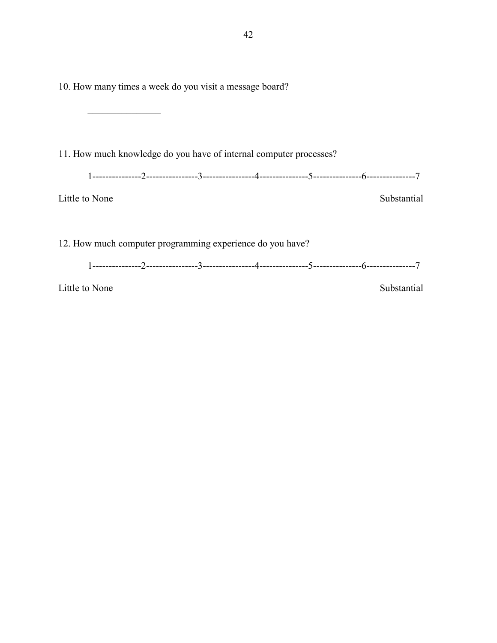10. How many times a week do you visit a message board?

 $\frac{1}{2}$ 

11. How much knowledge do you have of internal computer processes?

1---------------2----------------3----------------4---------------5---------------6---------------7

Little to None Substantial

12. How much computer programming experience do you have?

1---------------2----------------3----------------4---------------5---------------6---------------7

Little to None Substantial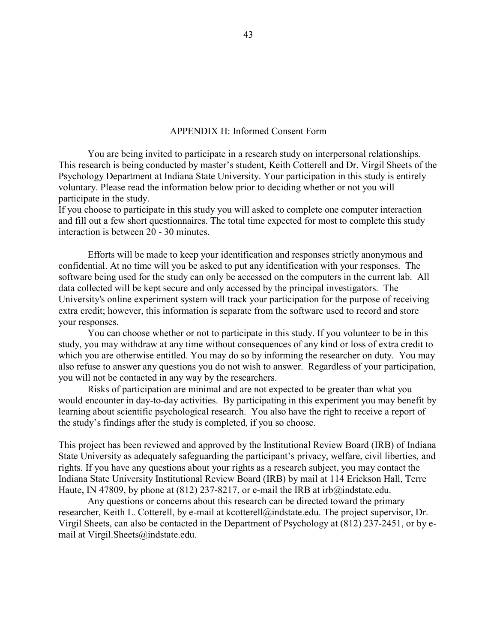## APPENDIX H: Informed Consent Form

You are being invited to participate in a research study on interpersonal relationships. This research is being conducted by master's student, Keith Cotterell and Dr. Virgil Sheets of the Psychology Department at Indiana State University. Your participation in this study is entirely voluntary. Please read the information below prior to deciding whether or not you will participate in the study.

If you choose to participate in this study you will asked to complete one computer interaction and fill out a few short questionnaires. The total time expected for most to complete this study interaction is between 20 - 30 minutes.

Efforts will be made to keep your identification and responses strictly anonymous and confidential. At no time will you be asked to put any identification with your responses. The software being used for the study can only be accessed on the computers in the current lab. All data collected will be kept secure and only accessed by the principal investigators. The University's online experiment system will track your participation for the purpose of receiving extra credit; however, this information is separate from the software used to record and store your responses.

You can choose whether or not to participate in this study. If you volunteer to be in this study, you may withdraw at any time without consequences of any kind or loss of extra credit to which you are otherwise entitled. You may do so by informing the researcher on duty. You may also refuse to answer any questions you do not wish to answer. Regardless of your participation, you will not be contacted in any way by the researchers.

Risks of participation are minimal and are not expected to be greater than what you would encounter in day-to-day activities. By participating in this experiment you may benefit by learning about scientific psychological research. You also have the right to receive a report of the study's findings after the study is completed, if you so choose.

This project has been reviewed and approved by the Institutional Review Board (IRB) of Indiana State University as adequately safeguarding the participant's privacy, welfare, civil liberties, and rights. If you have any questions about your rights as a research subject, you may contact the Indiana State University Institutional Review Board (IRB) by mail at 114 Erickson Hall, Terre Haute, IN 47809, by phone at (812) 237-8217, or e-mail the IRB at irb@indstate.edu.

Any questions or concerns about this research can be directed toward the primary researcher, Keith L. Cotterell, by e-mail at kcotterell@indstate.edu. The project supervisor, Dr. Virgil Sheets, can also be contacted in the Department of Psychology at (812) 237-2451, or by email at Virgil.Sheets@indstate.edu.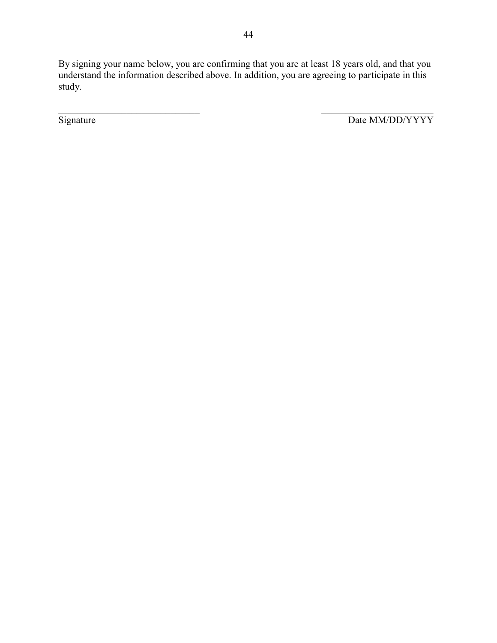By signing your name below, you are confirming that you are at least 18 years old, and that you understand the information described above. In addition, you are agreeing to participate in this study.

 $\mathcal{L}_\text{max}$  , and the contract of the contract of the contract of the contract of the contract of the contract of

Signature Date MM/DD/YYYY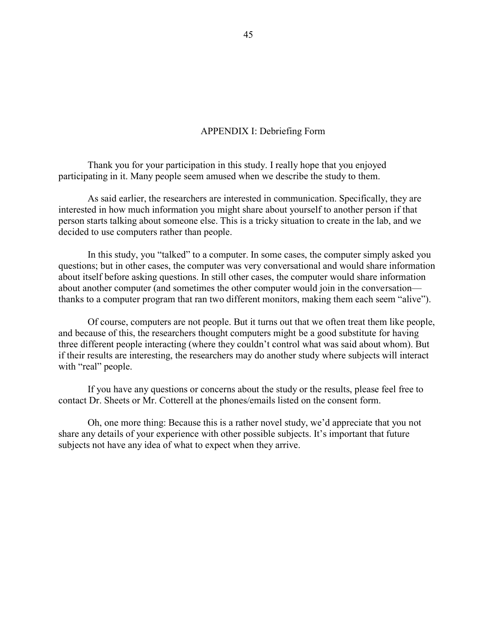## APPENDIX I: Debriefing Form

Thank you for your participation in this study. I really hope that you enjoyed participating in it. Many people seem amused when we describe the study to them.

As said earlier, the researchers are interested in communication. Specifically, they are interested in how much information you might share about yourself to another person if that person starts talking about someone else. This is a tricky situation to create in the lab, and we decided to use computers rather than people.

In this study, you "talked" to a computer. In some cases, the computer simply asked you questions; but in other cases, the computer was very conversational and would share information about itself before asking questions. In still other cases, the computer would share information about another computer (and sometimes the other computer would join in the conversation thanks to a computer program that ran two different monitors, making them each seem "alive").

Of course, computers are not people. But it turns out that we often treat them like people, and because of this, the researchers thought computers might be a good substitute for having three different people interacting (where they couldn't control what was said about whom). But if their results are interesting, the researchers may do another study where subjects will interact with "real" people.

If you have any questions or concerns about the study or the results, please feel free to contact Dr. Sheets or Mr. Cotterell at the phones/emails listed on the consent form.

Oh, one more thing: Because this is a rather novel study, we'd appreciate that you not share any details of your experience with other possible subjects. It's important that future subjects not have any idea of what to expect when they arrive.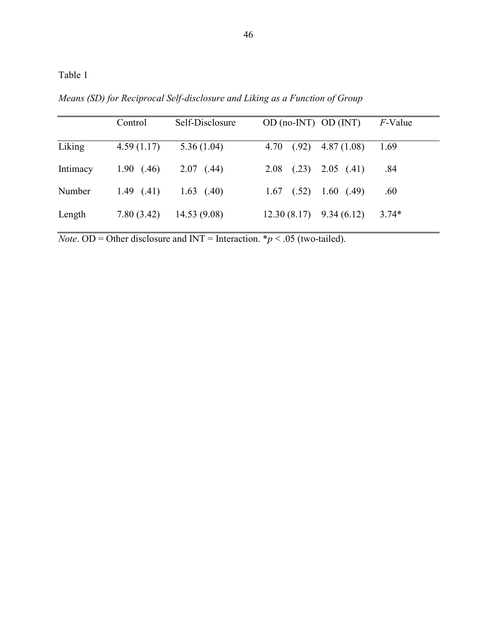Table 1

*Means (SD) for Reciprocal Self-disclosure and Liking as a Function of Group*

|          | Control    | Self-Disclosure | $OD (no-INT) OD (INT)$        | <i>F</i> -Value |
|----------|------------|-----------------|-------------------------------|-----------------|
| Liking   | 4.59(1.17) | 5.36(1.04)      | 4.70 $(.92)$ 4.87 $(1.08)$    | 1.69            |
| Intimacy | 1.90(0.46) | 2.07(0.44)      | $2.08$ $(.23)$ $2.05$ $(.41)$ | .84             |
| Number   | 1.49(.41)  | $1.63$ (.40)    | $1.67$ $(.52)$ $1.60$ $(.49)$ | .60             |
| Length   | 7.80(3.42) | 14.53(9.08)     | $12.30(8.17)$ 9.34 (6.12)     | $3.74*$         |

*Note*. OD = Other disclosure and INT = Interaction.  $* p < .05$  (two-tailed).